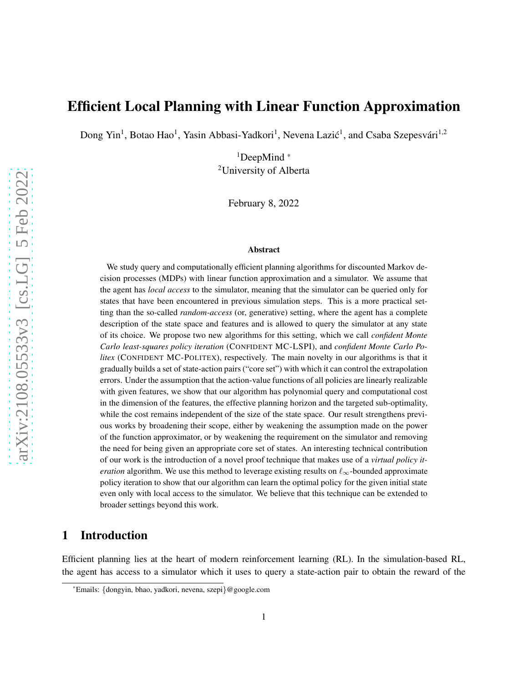# Efficient Local Planning with Linear Function Approximation

Dong Yin<sup>1</sup>, Botao Hao<sup>1</sup>, Yasin Abbasi-Yadkori<sup>1</sup>, Nevena Lazić<sup>1</sup>, and Csaba Szepesvári<sup>1,2</sup>

 $1$ DeepMind  $*$ <sup>2</sup>University of Alberta

February 8, 2022

#### Abstract

We study query and computationally efficient planning algorithms for discounted Markov decision processes (MDPs) with linear function approximation and a simulator. We assume that the agent has *local access* to the simulator, meaning that the simulator can be queried only for states that have been encountered in previous simulation steps. This is a more practical setting than the so-called *random-access* (or, generative) setting, where the agent has a complete description of the state space and features and is allowed to query the simulator at any state of its choice. We propose two new algorithms for this setting, which we call *confident Monte Carlo least-squares policy iteration* (CONFIDENT MC-LSPI), and *confident Monte Carlo Politex* (CONFIDENT MC-POLITEX), respectively. The main novelty in our algorithms is that it gradually builds a set of state-action pairs ("core set") with which it can control the extrapolation errors. Under the assumption that the action-value functions of all policies are linearly realizable with given features, we show that our algorithm has polynomial query and computational cost in the dimension of the features, the effective planning horizon and the targeted sub-optimality, while the cost remains independent of the size of the state space. Our result strengthens previous works by broadening their scope, either by weakening the assumption made on the power of the function approximator, or by weakening the requirement on the simulator and removing the need for being given an appropriate core set of states. An interesting technical contribution of our work is the introduction of a novel proof technique that makes use of a *virtual policy iteration* algorithm. We use this method to leverage existing results on  $\ell_{\infty}$ -bounded approximate policy iteration to show that our algorithm can learn the optimal policy for the given initial state even only with local access to the simulator. We believe that this technique can be extended to broader settings beyond this work.

### 1 Introduction

Efficient planning lies at the heart of modern reinforcement learning (RL). In the simulation-based RL, the agent has access to a simulator which it uses to query a state-action pair to obtain the reward of the

<sup>\*</sup>Emails: {dongyin, bhao, yadkori, nevena, szepi}@google.com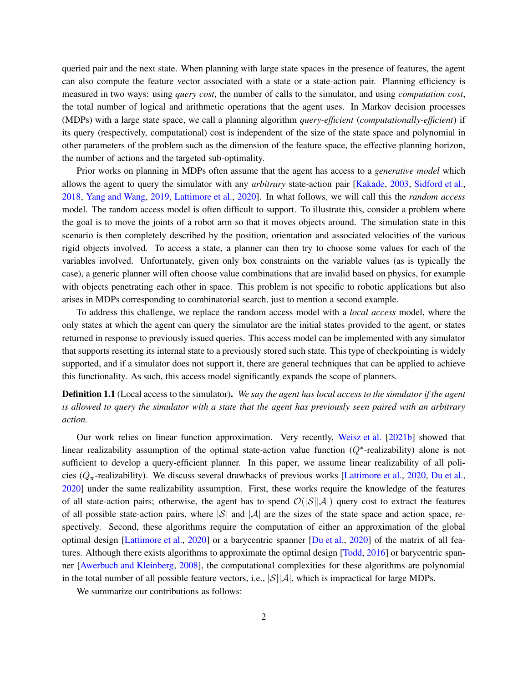queried pair and the next state. When planning with large state spaces in the presence of features, the agent can also compute the feature vector associated with a state or a state-action pair. Planning efficiency is measured in two ways: using *query cost*, the number of calls to the simulator, and using *computation cost*, the total number of logical and arithmetic operations that the agent uses. In Markov decision processes (MDPs) with a large state space, we call a planning algorithm *query-efficient* (*computationally-efficient*) if its query (respectively, computational) cost is independent of the size of the state space and polynomial in other parameters of the problem such as the dimension of the feature space, the effective planning horizon, the number of actions and the targeted sub-optimality.

Prior works on planning in MDPs often assume that the agent has access to a *generative model* which allows the agent to query the simulator with any *arbitrary* state-action pair [\[Kakade](#page-13-0), [2003](#page-13-0), [Sidford et al.](#page-14-0), [2018,](#page-14-0) [Yang and Wang,](#page-14-1) [2019](#page-14-1), [Lattimore et al.](#page-13-1), [2020](#page-13-1)]. In what follows, we will call this the *random access* model. The random access model is often difficult to support. To illustrate this, consider a problem where the goal is to move the joints of a robot arm so that it moves objects around. The simulation state in this scenario is then completely described by the position, orientation and associated velocities of the various rigid objects involved. To access a state, a planner can then try to choose some values for each of the variables involved. Unfortunately, given only box constraints on the variable values (as is typically the case), a generic planner will often choose value combinations that are invalid based on physics, for example with objects penetrating each other in space. This problem is not specific to robotic applications but also arises in MDPs corresponding to combinatorial search, just to mention a second example.

To address this challenge, we replace the random access model with a *local access* model, where the only states at which the agent can query the simulator are the initial states provided to the agent, or states returned in response to previously issued queries. This access model can be implemented with any simulator that supports resetting its internal state to a previously stored such state. This type of checkpointing is widely supported, and if a simulator does not support it, there are general techniques that can be applied to achieve this functionality. As such, this access model significantly expands the scope of planners.

### <span id="page-1-0"></span>Definition 1.1 (Local access to the simulator). *We say the agent has local access to the simulator if the agent is allowed to query the simulator with a state that the agent has previously seen paired with an arbitrary action.*

Our work relies on linear function approximation. Very recently, [Weisz et al.](#page-14-2) [\[2021b](#page-14-2)] showed that linear realizability assumption of the optimal state-action value function  $(Q^*$ -realizability) alone is not sufficient to develop a query-efficient planner. In this paper, we assume linear realizability of all policies ( $Q_{\pi}$ -realizability). We discuss several drawbacks of previous works [\[Lattimore et al.](#page-13-1), [2020](#page-13-1), [Du et al.](#page-13-2), [2020\]](#page-13-2) under the same realizability assumption. First, these works require the knowledge of the features of all state-action pairs; otherwise, the agent has to spend  $\mathcal{O}(|\mathcal{S}||\mathcal{A}|)$  query cost to extract the features of all possible state-action pairs, where  $|\mathcal{S}|$  and  $|\mathcal{A}|$  are the sizes of the state space and action space, respectively. Second, these algorithms require the computation of either an approximation of the global optimal design [\[Lattimore et al.,](#page-13-1) [2020](#page-13-1)] or a barycentric spanner [\[Du et al.](#page-13-2), [2020](#page-13-2)] of the matrix of all features. Although there exists algorithms to approximate the optimal design [\[Todd](#page-14-3), [2016](#page-14-3)] or barycentric spanner [\[Awerbuch and Kleinberg](#page-12-0), [2008\]](#page-12-0), the computational complexities for these algorithms are polynomial in the total number of all possible feature vectors, i.e.,  $|S||A|$ , which is impractical for large MDPs.

We summarize our contributions as follows: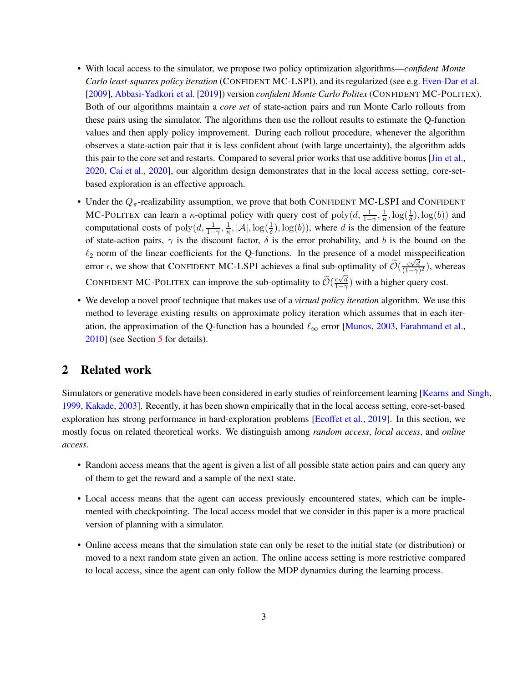- With local access to the simulator, we propose two policy optimization algorithms—*confident Monte Carlo least-squares policy iteration* (CONFIDENT MC-LSPI), and its regularized (see e.g. [Even-Dar et al.](#page-13-3) [\[2009](#page-13-3)], [Abbasi-Yadkori et al.](#page-12-1) [\[2019](#page-12-1)]) version *confident Monte Carlo Politex* (CONFIDENT MC-POLITEX). Both of our algorithms maintain a *core set* of state-action pairs and run Monte Carlo rollouts from these pairs using the simulator. The algorithms then use the rollout results to estimate the Q-function values and then apply policy improvement. During each rollout procedure, whenever the algorithm observes a state-action pair that it is less confident about (with large uncertainty), the algorithm adds this pair to the core set and restarts. Compared to several prior works that use additive bonus [\[Jin et al.](#page-13-4), [2020](#page-13-4), [Cai et al.](#page-12-2), [2020](#page-12-2)], our algorithm design demonstrates that in the local access setting, core-setbased exploration is an effective approach.
- Under the  $Q_{\pi}$ -realizability assumption, we prove that both CONFIDENT MC-LSPI and CONFIDENT MC-POLITEX can learn a  $\kappa$ -optimal policy with query cost of poly $(d, \frac{1}{1-\gamma}, \frac{1}{\kappa})$  $\frac{1}{\kappa}, \log(\frac{1}{\delta}), \log(b))$  and computational costs of  $\text{poly}(d, \frac{1}{1-\gamma}, \frac{1}{\kappa})$  $\frac{1}{\kappa}, |\mathcal{A}|, \log(\frac{1}{\delta}), \log(b)$ , where d is the dimension of the feature of state-action pairs,  $\gamma$  is the discount factor,  $\delta$  is the error probability, and b is the bound on the  $\ell_2$  norm of the linear coefficients for the Q-functions. In the presence of a model misspecification error  $\epsilon$ , we show that CONFIDENT MC-LSPI achieves a final sub-optimality of  $\widetilde{\mathcal{O}}(\frac{\epsilon \sqrt{d}}{(1-\gamma)})$  $\frac{\epsilon \sqrt{d}}{(1-\gamma)^2}$ ), whereas CONFIDENT MC-POLITEX can improve the sub-optimality to  $\widetilde{\mathcal{O}}(\frac{\epsilon\sqrt{d}}{1-\gamma})$  $\frac{\epsilon \vee d}{1-\gamma}$ ) with a higher query cost.
- We develop a novel proof technique that makes use of a *virtual policy iteration* algorithm. We use this method to leverage existing results on approximate policy iteration which assumes that in each iteration, the approximation of the Q-function has a bounded  $\ell_{\infty}$  error [\[Munos,](#page-14-4) [2003](#page-14-4), [Farahmand et al.](#page-13-5), [2010](#page-13-5)] (see Section [5](#page-8-0) for details).

## 2 Related work

Simulators or generative models have been considered in early studies of reinforcement learning [\[Kearns and Singh](#page-13-6), [1999,](#page-13-6) [Kakade](#page-13-0), [2003](#page-13-0)]. Recently, it has been shown empirically that in the local access setting, core-set-based exploration has strong performance in hard-exploration problems [\[Ecoffet et al.](#page-13-7), [2019](#page-13-7)]. In this section, we mostly focus on related theoretical works. We distinguish among *random access*, *local access*, and *online access*.

- Random access means that the agent is given a list of all possible state action pairs and can query any of them to get the reward and a sample of the next state.
- Local access means that the agent can access previously encountered states, which can be implemented with checkpointing. The local access model that we consider in this paper is a more practical version of planning with a simulator.
- Online access means that the simulation state can only be reset to the initial state (or distribution) or moved to a next random state given an action. The online access setting is more restrictive compared to local access, since the agent can only follow the MDP dynamics during the learning process.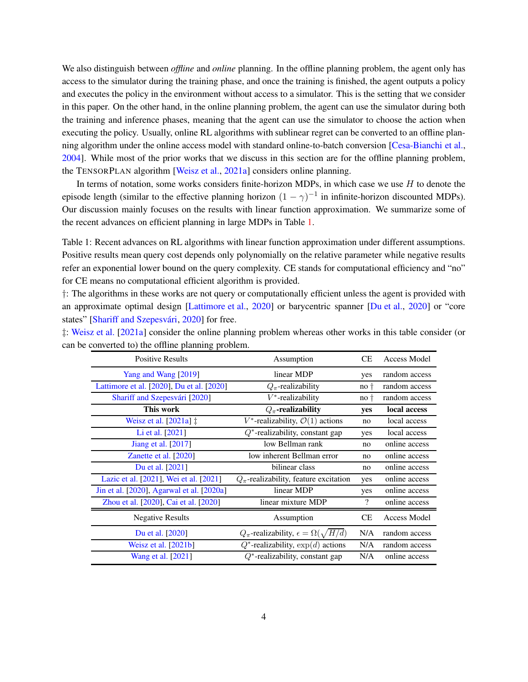We also distinguish between *offline* and *online* planning. In the offline planning problem, the agent only has access to the simulator during the training phase, and once the training is finished, the agent outputs a policy and executes the policy in the environment without access to a simulator. This is the setting that we consider in this paper. On the other hand, in the online planning problem, the agent can use the simulator during both the training and inference phases, meaning that the agent can use the simulator to choose the action when executing the policy. Usually, online RL algorithms with sublinear regret can be converted to an offline planning algorithm under the online access model with standard online-to-batch conversion [\[Cesa-Bianchi et al.](#page-13-8), [2004\]](#page-13-8). While most of the prior works that we discuss in this section are for the offline planning problem, the TENSORPLAN algorithm [\[Weisz et al.,](#page-14-5) [2021a](#page-14-5)] considers online planning.

In terms of notation, some works considers finite-horizon MDPs, in which case we use  $H$  to denote the episode length (similar to the effective planning horizon  $(1 - \gamma)^{-1}$  in infinite-horizon discounted MDPs). Our discussion mainly focuses on the results with linear function approximation. We summarize some of the recent advances on efficient planning in large MDPs in Table [1.](#page-3-0)

<span id="page-3-0"></span>Table 1: Recent advances on RL algorithms with linear function approximation under different assumptions. Positive results mean query cost depends only polynomially on the relative parameter while negative results refer an exponential lower bound on the query complexity. CE stands for computational efficiency and "no" for CE means no computational efficient algorithm is provided.

†: The algorithms in these works are not query or computationally efficient unless the agent is provided with an approximate optimal design [\[Lattimore et al.](#page-13-1), [2020](#page-13-1)] or barycentric spanner [\[Du et al.,](#page-13-2) [2020](#page-13-2)] or "core states" [Shariff and Szepesvári, [2020](#page-14-6)] for free.

| 1: Weisz et al. [2021a] consider the online planning problem whereas other works in this table consider (or |  |  |
|-------------------------------------------------------------------------------------------------------------|--|--|
| can be converted to) the offline planning problem.                                                          |  |  |

| <b>Positive Results</b>                   | Assumption                                                |                | Access Model  |
|-------------------------------------------|-----------------------------------------------------------|----------------|---------------|
| Yang and Wang [2019]                      | linear MDP                                                |                | random access |
| Lattimore et al. [2020], Du et al. [2020] | $Q_{\pi}$ -realizability                                  |                | random access |
| Shariff and Szepesvári [2020]             | $V^*$ -realizability                                      |                | random access |
| This work                                 | $Q_{\pi}$ -realizability                                  | yes            | local access  |
| Weisz et al. $[2021a]$ $\ddagger$         | $V^*$ -realizability, $\mathcal{O}(1)$ actions            | no             | local access  |
| Li et al. [2021]                          | $Q^*$ -realizability, constant gap                        | yes            | local access  |
| <b>Jiang et al.</b> [2017]                | low Bellman rank                                          | n <sub>0</sub> | online access |
| Zanette et al. [2020]                     | low inherent Bellman error                                | no             | online access |
| Du et al. [2021]                          | bilinear class                                            | no             | online access |
| Lazic et al. [2021], Wei et al. [2021]    | $Q_{\pi}$ -realizability, feature excitation              | yes            | online access |
| Jin et al. [2020], Agarwal et al. [2020a] | linear MDP                                                | yes            | online access |
| Zhou et al. [2020], Cai et al. [2020]     | linear mixture MDP                                        | $\gamma$       | online access |
| <b>Negative Results</b>                   | Assumption                                                | <b>CE</b>      | Access Model  |
| Du et al. [2020]                          | $Q_{\pi}$ -realizability, $\epsilon = \Omega(\sqrt{H/d})$ | N/A            | random access |
| Weisz et al. $[2021b]$                    | $Q^*$ -realizability, $\exp(d)$ actions                   | N/A            | random access |
| Wang et al. [2021]                        | $Q^*$ -realizability, constant gap                        | N/A            | online access |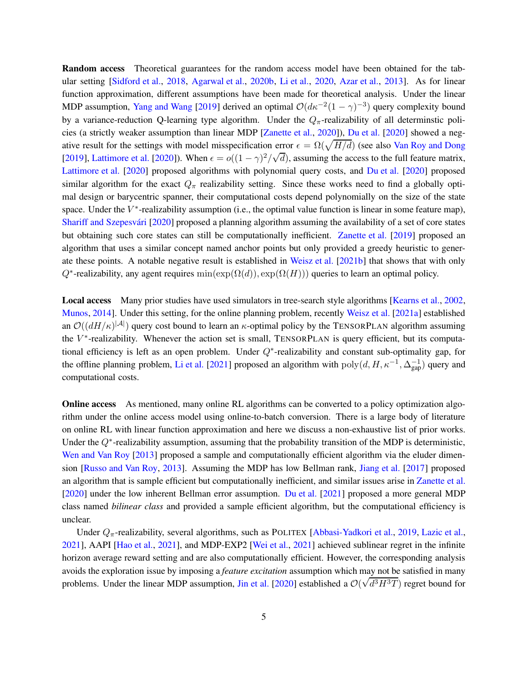Random access Theoretical guarantees for the random access model have been obtained for the tab-ular setting [\[Sidford et al.,](#page-14-0) [2018](#page-14-0), [Agarwal et al.,](#page-12-4) [2020b,](#page-12-4) [Li et al.](#page-13-12), [2020](#page-13-12), [Azar et al.](#page-12-5), [2013\]](#page-12-5). As for linear function approximation, different assumptions have been made for theoretical analysis. Under the linear MDP assumption, [Yang and Wang](#page-14-1) [\[2019\]](#page-14-1) derived an optimal  $\mathcal{O}(d\kappa^{-2}(1-\gamma)^{-3})$  query complexity bound by a variance-reduction Q-learning type algorithm. Under the  $Q_{\pi}$ -realizability of all determinstic policies (a strictly weaker assumption than linear MDP [\[Zanette et al.](#page-15-0), [2020](#page-15-0)]), [Du et al.](#page-13-2) [\[2020](#page-13-2)] showed a negative result for the settings with model misspecification error  $\epsilon = \Omega(\sqrt{H/d})$  (see also [Van Roy and Dong](#page-14-10) [\[2019](#page-14-10)], [Lattimore et al.](#page-13-1) [\[2020](#page-13-1)]). When  $\epsilon = o((1 - \gamma)^2/\sqrt{d})$ , assuming the access to the full feature matrix, [Lattimore et al.](#page-13-1) [\[2020](#page-13-1)] proposed algorithms with polynomial query costs, and [Du et al.](#page-13-2) [\[2020](#page-13-2)] proposed similar algorithm for the exact  $Q_\pi$  realizability setting. Since these works need to find a globally optimal design or barycentric spanner, their computational costs depend polynomially on the size of the state space. Under the  $V^*$ -realizability assumption (i.e., the optimal value function is linear in some feature map), Shariff and Szepesvári [\[2020](#page-14-6)] proposed a planning algorithm assuming the availability of a set of core states but obtaining such core states can still be computationally inefficient. [Zanette et al.](#page-15-2) [\[2019](#page-15-2)] proposed an algorithm that uses a similar concept named anchor points but only provided a greedy heuristic to generate these points. A notable negative result is established in [Weisz et al.](#page-14-2) [\[2021b](#page-14-2)] that shows that with only  $Q^*$ -realizability, any agent requires  $min(exp(\Omega(d)), exp(\Omega(H)))$  queries to learn an optimal policy.

Local access Many prior studies have used simulators in tree-search style algorithms [\[Kearns et al.](#page-13-13), [2002](#page-13-13), [Munos](#page-14-11), [2014](#page-14-11)]. Under this setting, for the online planning problem, recently [Weisz et al.](#page-14-5) [\[2021a](#page-14-5)] established an  $\mathcal{O}((dH/\kappa)^{|\mathcal{A}|})$  query cost bound to learn an  $\kappa$ -optimal policy by the TENSORPLAN algorithm assuming the  $V^*$ -realizability. Whenever the action set is small, TENSORPLAN is query efficient, but its computational efficiency is left as an open problem. Under  $Q^*$ -realizability and constant sub-optimality gap, for the offline planning problem, [Li et al.](#page-14-7) [\[2021](#page-14-7)] proposed an algorithm with  $poly(d, H, \kappa^{-1}, \Delta_{\text{gap}}^{-1})$  query and computational costs.

**Online access** As mentioned, many online RL algorithms can be converted to a policy optimization algorithm under the online access model using online-to-batch conversion. There is a large body of literature on online RL with linear function approximation and here we discuss a non-exhaustive list of prior works. Under the  $Q^*$ -realizability assumption, assuming that the probability transition of the MDP is deterministic, [Wen and Van Roy](#page-14-12) [\[2013](#page-14-12)] proposed a sample and computationally efficient algorithm via the eluder dimension [\[Russo and Van Roy,](#page-14-13) [2013\]](#page-14-13). Assuming the MDP has low Bellman rank, [Jiang et al.](#page-13-9) [\[2017\]](#page-13-9) proposed an algorithm that is sample efficient but computationally inefficient, and similar issues arise in [Zanette et al.](#page-15-0) [\[2020](#page-15-0)] under the low inherent Bellman error assumption. [Du et al.](#page-13-10) [\[2021](#page-13-10)] proposed a more general MDP class named *bilinear class* and provided a sample efficient algorithm, but the computational efficiency is unclear.

Under  $Q_{\pi}$ -realizability, several algorithms, such as POLITEX [\[Abbasi-Yadkori et al.,](#page-12-1) [2019](#page-12-1), [Lazic et al.](#page-13-11), [2021\]](#page-13-11), AAPI [\[Hao et al.](#page-13-14), [2021\]](#page-13-14), and MDP-EXP2 [\[Wei et al.](#page-14-8), [2021\]](#page-14-8) achieved sublinear regret in the infinite horizon average reward setting and are also computationally efficient. However, the corresponding analysis avoids the exploration issue by imposing a *feature excitation* assumption which may not be satisfied in many problems. Under the linear MDP assumption, [Jin et al.](#page-13-4) [\[2020](#page-13-4)] established a  $\mathcal{O}(\sqrt{d^3H^3T})$  regret bound for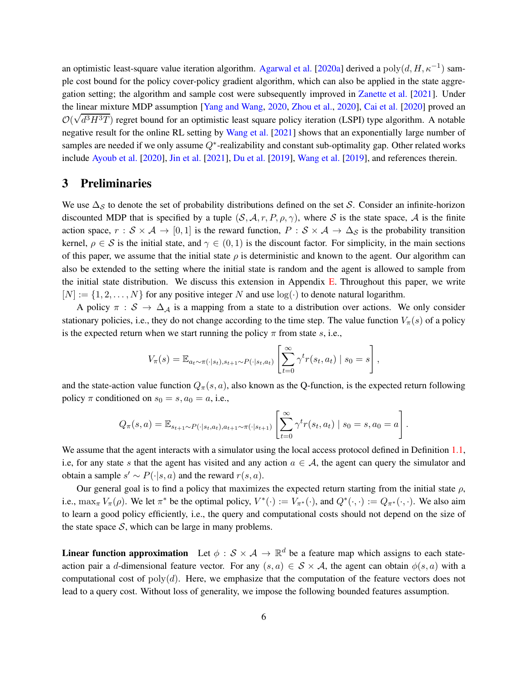an optimistic least-square value iteration algorithm. [Agarwal et al.](#page-12-3) [\[2020a](#page-12-3)] derived a  $poly(d, H, \kappa^{-1})$  sample cost bound for the policy cover-policy gradient algorithm, which can also be applied in the state aggregation setting; the algorithm and sample cost were subsequently improved in [Zanette et al.](#page-15-3) [\[2021](#page-15-3)]. Under the linear mixture MDP assumption [\[Yang and Wang](#page-15-4), [2020,](#page-15-4) [Zhou et al.](#page-15-1), [2020](#page-15-1)], [Cai et al.](#page-12-2) [\[2020](#page-12-2)] proved an  $\mathcal{O}(\sqrt{d^3H^3T})$  regret bound for an optimistic least square policy iteration (LSPI) type algorithm. A notable negative result for the online RL setting by [Wang et al.](#page-14-9) [\[2021](#page-14-9)] shows that an exponentially large number of samples are needed if we only assume  $Q^*$ -realizability and constant sub-optimality gap. Other related works include [Ayoub et al.](#page-12-6) [\[2020](#page-12-6)], [Jin et al.](#page-13-15) [\[2021](#page-13-15)], [Du et al.](#page-13-16) [\[2019](#page-13-16)], [Wang et al.](#page-14-14) [\[2019](#page-14-14)], and references therein.

#### 3 Preliminaries

We use  $\Delta_{\mathcal{S}}$  to denote the set of probability distributions defined on the set S. Consider an infinite-horizon discounted MDP that is specified by a tuple  $(S, \mathcal{A}, r, P, \rho, \gamma)$ , where S is the state space, A is the finite action space,  $r : \mathcal{S} \times \mathcal{A} \to [0, 1]$  is the reward function,  $P : \mathcal{S} \times \mathcal{A} \to \Delta_{\mathcal{S}}$  is the probability transition kernel,  $\rho \in S$  is the initial state, and  $\gamma \in (0,1)$  is the discount factor. For simplicity, in the main sections of this paper, we assume that the initial state  $\rho$  is deterministic and known to the agent. Our algorithm can also be extended to the setting where the initial state is random and the agent is allowed to sample from the initial state distribution. We discuss this extension in Appendix [E.](#page-27-0) Throughout this paper, we write  $[N] := \{1, 2, \ldots, N\}$  for any positive integer N and use  $log(\cdot)$  to denote natural logarithm.

A policy  $\pi : S \to \Delta_A$  is a mapping from a state to a distribution over actions. We only consider stationary policies, i.e., they do not change according to the time step. The value function  $V_\pi(s)$  of a policy is the expected return when we start running the policy  $\pi$  from state s, i.e.,

$$
V_{\pi}(s) = \mathbb{E}_{a_t \sim \pi(\cdot|s_t), s_{t+1} \sim P(\cdot|s_t, a_t)} \left[ \sum_{t=0}^{\infty} \gamma^t r(s_t, a_t) \mid s_0 = s \right],
$$

and the state-action value function  $Q_\pi(s, a)$ , also known as the Q-function, is the expected return following policy  $\pi$  conditioned on  $s_0 = s$ ,  $a_0 = a$ , i.e.,

$$
Q_{\pi}(s, a) = \mathbb{E}_{s_{t+1} \sim P(\cdot | s_t, a_t), a_{t+1} \sim \pi(\cdot | s_{t+1})} \left[ \sum_{t=0}^{\infty} \gamma^t r(s_t, a_t) \mid s_0 = s, a_0 = a \right].
$$

We assume that the agent interacts with a simulator using the local access protocol defined in Definition [1.1,](#page-1-0) i.e, for any state s that the agent has visited and any action  $a \in A$ , the agent can query the simulator and obtain a sample  $s' \sim P(\cdot|s, a)$  and the reward  $r(s, a)$ .

Our general goal is to find a policy that maximizes the expected return starting from the initial state  $\rho$ , i.e.,  $\max_{\pi} V_{\pi}(\rho)$ . We let  $\pi^*$  be the optimal policy,  $V^*(\cdot) := V_{\pi^*}(\cdot)$ , and  $Q^*(\cdot, \cdot) := Q_{\pi^*}(\cdot, \cdot)$ . We also aim to learn a good policy efficiently, i.e., the query and computational costs should not depend on the size of the state space  $S$ , which can be large in many problems.

**Linear function approximation** Let  $\phi : \mathcal{S} \times \mathcal{A} \to \mathbb{R}^d$  be a feature map which assigns to each stateaction pair a d-dimensional feature vector. For any  $(s, a) \in S \times A$ , the agent can obtain  $\phi(s, a)$  with a computational cost of  $poly(d)$ . Here, we emphasize that the computation of the feature vectors does not lead to a query cost. Without loss of generality, we impose the following bounded features assumption.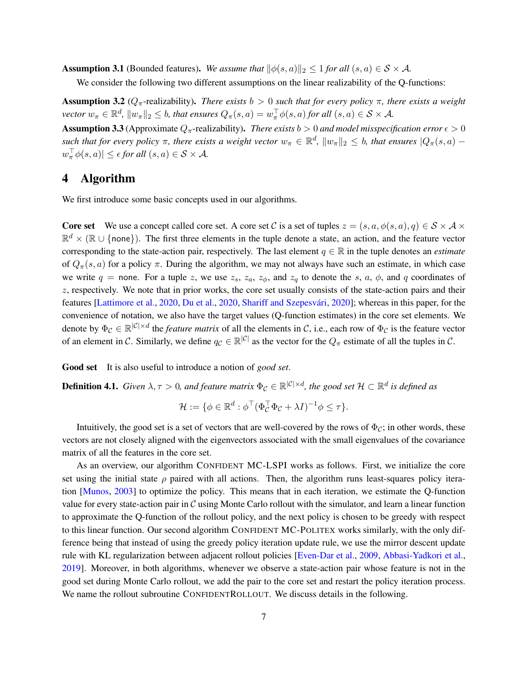<span id="page-6-2"></span>**Assumption 3.1** (Bounded features). We assume that  $\|\phi(s, a)\|_2 \leq 1$  *for all*  $(s, a) \in S \times A$ *.* 

We consider the following two different assumptions on the linear realizability of the O-functions:

<span id="page-6-0"></span>**Assumption 3.2** ( $Q_{\pi}$ -realizability). *There exists*  $b > 0$  *such that for every policy*  $\pi$ *, there exists a weight vector*  $w_{\pi} \in \mathbb{R}^d$ ,  $||w_{\pi}||_2 \leq b$ , that ensures  $Q_{\pi}(s, a) = w_{\pi}^{\top} \phi(s, a)$  for all  $(s, a) \in S \times A$ .

<span id="page-6-1"></span>**Assumption 3.3** (Approximate  $Q_{\pi}$ -realizability). *There exists*  $b > 0$  *and model misspecification error*  $\epsilon > 0$ *such that for every policy*  $\pi$ , there exists a weight vector  $w_{\pi} \in \mathbb{R}^d$ ,  $||w_{\pi}||_2 \leq b$ , that ensures  $|Q_{\pi}(s, a) |w^{\perp}_{\pi}\phi(s,a)| \leq \epsilon$  for all  $(s,a) \in S \times A$ .

# 4 Algorithm

We first introduce some basic concepts used in our algorithms.

**Core set** We use a concept called core set. A core set C is a set of tuples  $z = (s, a, \phi(s, a), q) \in S \times A \times$  $\mathbb{R}^d \times (\mathbb{R} \cup \{\text{none}\})$ . The first three elements in the tuple denote a state, an action, and the feature vector corresponding to the state-action pair, respectively. The last element  $q \in \mathbb{R}$  in the tuple denotes an *estimate* of  $Q_{\pi}(s, a)$  for a policy  $\pi$ . During the algorithm, we may not always have such an estimate, in which case we write  $q =$  none. For a tuple z, we use  $z_s$ ,  $z_a$ ,  $z_\phi$ , and  $z_q$  to denote the s, a,  $\phi$ , and q coordinates of z, respectively. We note that in prior works, the core set usually consists of the state-action pairs and their features [\[Lattimore et al.,](#page-13-1) [2020](#page-14-6), [Du et al.,](#page-13-2) [2020,](#page-13-2) Shariff and Szepesvári, 2020]; whereas in this paper, for the convenience of notation, we also have the target values (Q-function estimates) in the core set elements. We denote by  $\Phi_{\mathcal{C}} \in \mathbb{R}^{|\mathcal{C}| \times d}$  the *feature matrix* of all the elements in C, i.e., each row of  $\Phi_{\mathcal{C}}$  is the feature vector of an element in C. Similarly, we define  $q_c \in \mathbb{R}^{|C|}$  as the vector for the  $Q_\pi$  estimate of all the tuples in C.

Good set It is also useful to introduce a notion of *good set*.

<span id="page-6-3"></span>**Definition 4.1.** *Given*  $\lambda, \tau > 0$ , and feature matrix  $\Phi_C \in \mathbb{R}^{|\mathcal{C}| \times d}$ , the good set  $\mathcal{H} \subset \mathbb{R}^d$  is defined as

$$
\mathcal{H} := \{ \phi \in \mathbb{R}^d : \phi^\top (\Phi_C^\top \Phi_C + \lambda I)^{-1} \phi \leq \tau \}.
$$

Intuitively, the good set is a set of vectors that are well-covered by the rows of  $\Phi_C$ ; in other words, these vectors are not closely aligned with the eigenvectors associated with the small eigenvalues of the covariance matrix of all the features in the core set.

As an overview, our algorithm CONFIDENT MC-LSPI works as follows. First, we initialize the core set using the initial state  $\rho$  paired with all actions. Then, the algorithm runs least-squares policy iteration [\[Munos](#page-14-4), [2003](#page-14-4)] to optimize the policy. This means that in each iteration, we estimate the Q-function value for every state-action pair in  $\mathcal C$  using Monte Carlo rollout with the simulator, and learn a linear function to approximate the Q-function of the rollout policy, and the next policy is chosen to be greedy with respect to this linear function. Our second algorithm CONFIDENT MC-POLITEX works similarly, with the only difference being that instead of using the greedy policy iteration update rule, we use the mirror descent update rule with KL regularization between adjacent rollout policies [\[Even-Dar et al.](#page-13-3), [2009](#page-13-3), [Abbasi-Yadkori et al.](#page-12-1), [2019\]](#page-12-1). Moreover, in both algorithms, whenever we observe a state-action pair whose feature is not in the good set during Monte Carlo rollout, we add the pair to the core set and restart the policy iteration process. We name the rollout subroutine CONFIDENTROLLOUT. We discuss details in the following.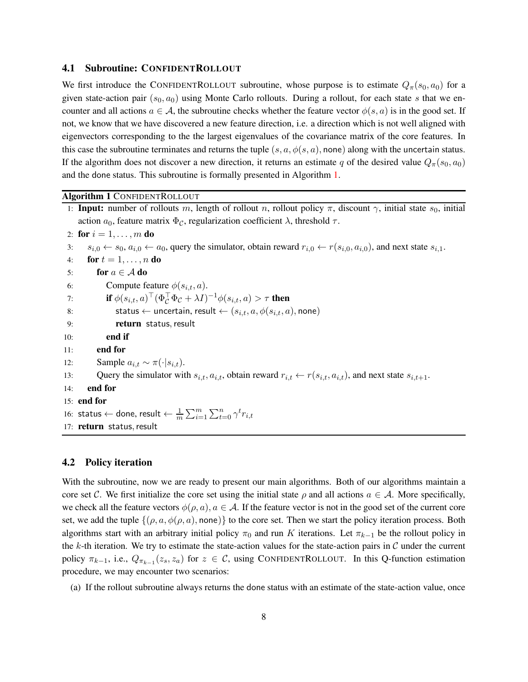#### 4.1 Subroutine: CONFIDENTROLLOUT

We first introduce the CONFIDENTROLLOUT subroutine, whose purpose is to estimate  $Q_{\pi}(s_0, a_0)$  for a given state-action pair ( $s_0, a_0$ ) using Monte Carlo rollouts. During a rollout, for each state s that we encounter and all actions  $a \in \mathcal{A}$ , the subroutine checks whether the feature vector  $\phi(s, a)$  is in the good set. If not, we know that we have discovered a new feature direction, i.e. a direction which is not well aligned with eigenvectors corresponding to the the largest eigenvalues of the covariance matrix of the core features. In this case the subroutine terminates and returns the tuple  $(s, a, \phi(s, a))$ , none) along with the uncertain status. If the algorithm does not discover a new direction, it returns an estimate q of the desired value  $Q_\pi(s_0, a_0)$ and the done status. This subroutine is formally presented in Algorithm [1.](#page-7-0)

#### <span id="page-7-0"></span>Algorithm 1 CONFIDENTROLLOUT

|     | 1: <b>Input:</b> number of rollouts m, length of rollout n, rollout policy $\pi$ , discount $\gamma$ , initial state $s_0$ , initial                        |  |  |  |  |  |
|-----|-------------------------------------------------------------------------------------------------------------------------------------------------------------|--|--|--|--|--|
|     | action $a_0$ , feature matrix $\Phi_c$ , regularization coefficient $\lambda$ , threshold $\tau$ .                                                          |  |  |  |  |  |
|     | 2: for $i = 1, , m$ do                                                                                                                                      |  |  |  |  |  |
| 3:  | $s_{i,0} \leftarrow s_0, a_{i,0} \leftarrow a_0$ , query the simulator, obtain reward $r_{i,0} \leftarrow r(s_{i,0}, a_{i,0})$ , and next state $s_{i,1}$ . |  |  |  |  |  |
| 4:  | for $t=1,\ldots,n$ do                                                                                                                                       |  |  |  |  |  |
| 5:  | for $a \in A$ do                                                                                                                                            |  |  |  |  |  |
| 6:  | Compute feature $\phi(s_{i,t}, a)$ .                                                                                                                        |  |  |  |  |  |
| 7:  | if $\phi(s_{i,t}, a)^\top (\Phi_c^\top \Phi_c + \lambda I)^{-1} \phi(s_{i,t}, a) > \tau$ then                                                               |  |  |  |  |  |
| 8:  | status $\leftarrow$ uncertain, result $\leftarrow$ $(s_{i,t}, a, \phi(s_{i,t}, a),$ none)                                                                   |  |  |  |  |  |
| 9:  | return status, result                                                                                                                                       |  |  |  |  |  |
| 10: | end if                                                                                                                                                      |  |  |  |  |  |
| 11: | end for                                                                                                                                                     |  |  |  |  |  |
| 12: | Sample $a_{i,t} \sim \pi(\cdot s_{i,t}).$                                                                                                                   |  |  |  |  |  |
| 13: | Query the simulator with $s_{i,t}$ , $a_{i,t}$ , obtain reward $r_{i,t} \leftarrow r(s_{i,t}, a_{i,t})$ , and next state $s_{i,t+1}$ .                      |  |  |  |  |  |
| 14: | end for                                                                                                                                                     |  |  |  |  |  |
|     | $15:$ end for                                                                                                                                               |  |  |  |  |  |
|     | 16: status $\leftarrow$ done, result $\leftarrow \frac{1}{m} \sum_{i=1}^{m} \sum_{t=0}^{n} \gamma^{t} r_{i,t}$                                              |  |  |  |  |  |
|     | 17: return status, result                                                                                                                                   |  |  |  |  |  |

#### 4.2 Policy iteration

With the subroutine, now we are ready to present our main algorithms. Both of our algorithms maintain a core set C. We first initialize the core set using the initial state  $\rho$  and all actions  $a \in \mathcal{A}$ . More specifically, we check all the feature vectors  $\phi(\rho, a), a \in \mathcal{A}$ . If the feature vector is not in the good set of the current core set, we add the tuple  $\{(\rho, a, \phi(\rho, a), \text{none})\}$  to the core set. Then we start the policy iteration process. Both algorithms start with an arbitrary initial policy  $\pi_0$  and run K iterations. Let  $\pi_{k-1}$  be the rollout policy in the k-th iteration. We try to estimate the state-action values for the state-action pairs in  $C$  under the current policy  $\pi_{k-1}$ , i.e.,  $Q_{\pi_{k-1}}(z_s, z_a)$  for  $z \in \mathcal{C}$ , using CONFIDENTROLLOUT. In this Q-function estimation procedure, we may encounter two scenarios:

(a) If the rollout subroutine always returns the done status with an estimate of the state-action value, once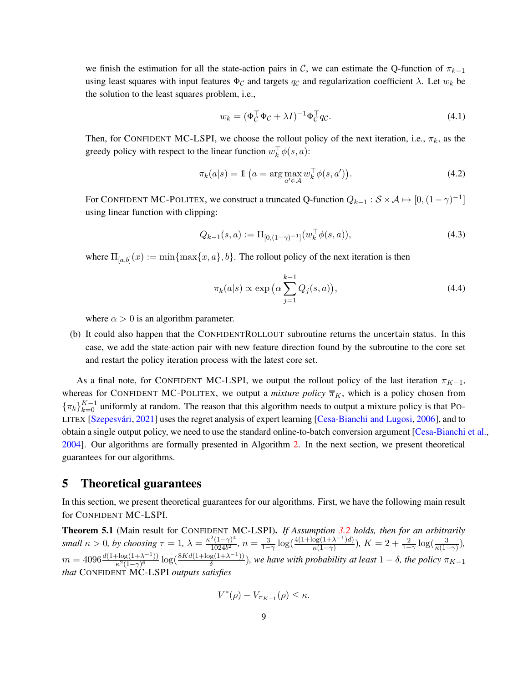we finish the estimation for all the state-action pairs in C, we can estimate the Q-function of  $\pi_{k-1}$ using least squares with input features  $\Phi_{\mathcal{C}}$  and targets  $q_{\mathcal{C}}$  and regularization coefficient  $\lambda$ . Let  $w_k$  be the solution to the least squares problem, i.e.,

<span id="page-8-2"></span>
$$
w_k = (\Phi_C^{\top} \Phi_C + \lambda I)^{-1} \Phi_C^{\top} q_C.
$$
\n(4.1)

Then, for CONFIDENT MC-LSPI, we choose the rollout policy of the next iteration, i.e.,  $\pi_k$ , as the greedy policy with respect to the linear function  $w_k^{\dagger} \phi(s, a)$ :

$$
\pi_k(a|s) = \mathbb{1} \left( a = \arg \max_{a' \in \mathcal{A}} w_k^{\top} \phi(s, a') \right). \tag{4.2}
$$

For CONFIDENT MC-POLITEX, we construct a truncated Q-function  $Q_{k-1}$  :  $S \times A \mapsto [0, (1 - \gamma)^{-1}]$ using linear function with clipping:

$$
Q_{k-1}(s, a) := \Pi_{[0,(1-\gamma)^{-1}]}(w_k^{\top} \phi(s, a)),\tag{4.3}
$$

where  $\Pi_{[a,b]}(x) := \min\{\max\{x,a\},b\}$ . The rollout policy of the next iteration is then

<span id="page-8-4"></span><span id="page-8-3"></span>
$$
\pi_k(a|s) \propto \exp\left(\alpha \sum_{j=1}^{k-1} Q_j(s, a)\right),\tag{4.4}
$$

where  $\alpha > 0$  is an algorithm parameter.

(b) It could also happen that the CONFIDENTROLLOUT subroutine returns the uncertain status. In this case, we add the state-action pair with new feature direction found by the subroutine to the core set and restart the policy iteration process with the latest core set.

As a final note, for CONFIDENT MC-LSPI, we output the rollout policy of the last iteration  $\pi_{K-1}$ , whereas for CONFIDENT MC-POLITEX, we output a *mixture policy*  $\overline{\pi}_K$ , which is a policy chosen from  $\{\pi_k\}_{k=0}^{K-1}$  uniformly at random. The reason that this algorithm needs to output a mixture policy is that Po-LITEX [Szepesvári, [2021](#page-14-15)] uses the regret analysis of expert learning [\[Cesa-Bianchi and Lugosi](#page-12-7), [2006](#page-12-7)], and to obtain a single output policy, we need to use the standard online-to-batch conversion argument [\[Cesa-Bianchi et al.](#page-13-8), [2004\]](#page-13-8). Our algorithms are formally presented in Algorithm [2.](#page-9-0) In the next section, we present theoretical guarantees for our algorithms.

### <span id="page-8-0"></span>5 Theoretical guarantees

In this section, we present theoretical guarantees for our algorithms. First, we have the following main result for CONFIDENT MC-LSPI.

<span id="page-8-1"></span>Theorem 5.1 (Main result for CONFIDENT MC-LSPI). *If Assumption [3.2](#page-6-0) holds, then for an arbitrarily small*  $\kappa > 0$ *, by choosing*  $\tau = 1$ ,  $\lambda = \frac{\kappa^2 (1 - \gamma)^4}{1024 \kappa^2}$  $\frac{2(1-\gamma)^4}{1024b^2}$ ,  $n=\frac{3}{1-\gamma}$  $\frac{3}{1-\gamma}\log\left(\frac{4(1+\log(1+\lambda^{-1})d)}{\kappa(1-\gamma)}\right)$  $\frac{\log(1+\lambda^{-1})d)}{\kappa(1-\gamma)}$ ),  $K=2+\frac{2}{1-\gamma}\log(\frac{3}{\kappa(1-\gamma)}),$  $m = 4096 \frac{d(1 + \log(1 + \lambda^{-1}))}{\kappa^2 (1 - \gamma)^6}$  $\frac{\log(1+\lambda^{-1})}{\kappa^2(1-\gamma)^6} \log(\frac{8Kd(1+\log(1+\lambda^{-1}))}{\delta})$  $\frac{g(1+x^{-2}+1)}{\delta}$ ), we have with probability at least  $1-\delta$ , the policy  $\pi_{K-1}$ *that* CONFIDENT MC-LSPI *outputs satisfies*

$$
V^*(\rho) - V_{\pi_{K-1}}(\rho) \leq \kappa.
$$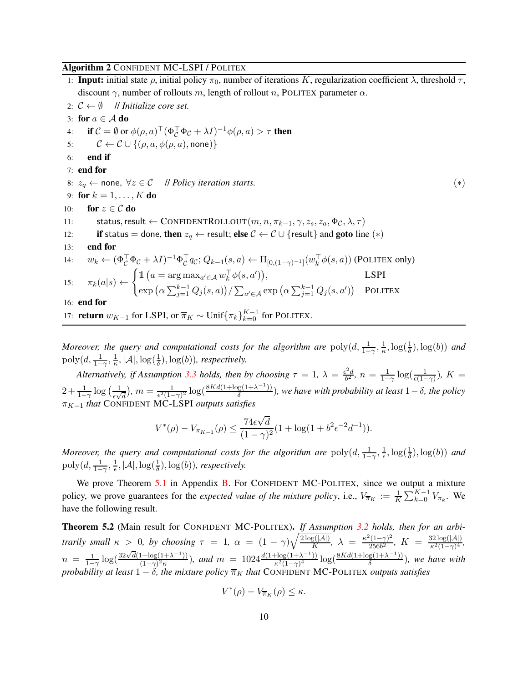#### <span id="page-9-0"></span>Algorithm 2 CONFIDENT MC-LSPI / POLITEX

1: **Input:** initial state  $\rho$ , initial policy  $\pi_0$ , number of iterations K, regularization coefficient  $\lambda$ , threshold  $\tau$ , discount  $\gamma$ , number of rollouts m, length of rollout n, POLITEX parameter  $\alpha$ . 2:  $C \leftarrow \emptyset$  // *Initialize core set* 

2. 
$$
C \leftarrow \emptyset
$$
 *H minimize C o u c*.  
\n3: **for**  $a \in A$  **do**  
\n4: **if**  $C = \emptyset$  or  $\phi(\rho, a)^{\top}(\Phi_C^{\top}\Phi_C + \lambda I)^{-1}\phi(\rho, a) > \tau$  **then**  
\n5:  $C \leftarrow C \cup \{(\rho, a, \phi(\rho, a), \text{none})\}$   
\n6: **end if**  
\n7: **end for**  
\n8:  $z_q \leftarrow \text{none}, \forall z \in C$  *|| Policy iteration starts.*  
\n9: **for**  $k = 1, ..., K$  **do**  
\n10: **for**  $z \in C$  **do**  
\n11: **status, result**  $\leftarrow$  **CONFIDENTROLLOUT** $(m, n, \pi_{k-1}, \gamma, z_s, z_a, \Phi_C, \lambda, \tau)$   
\n12: **if status = done, then**  $z_q \leftarrow$  **result; else**  $C \leftarrow C \cup \{\text{result}\}\$  **and goto** line (\*)  
\n13: **end for**  
\n14:  $w_k \leftarrow (\Phi_C^{\top}\Phi_C + \lambda I)^{-1}\Phi_C^{\top}q_C; Q_{k-1}(s, a) \leftarrow \Pi_{[0, (1-\gamma)^{-1}]}(w_k^{\top}\phi(s, a))$  (**POLITEX only**)  
\n15:  $\pi_k(a|s) \leftarrow \begin{cases} \mathbb{1} \ (a = \arg \max_{a' \in \mathcal{A}} w_k^{\top}\phi(s, a')), & \text{LSPI} \\ \exp(\alpha \sum_{j=1}^{k-1} Q_j(s, a)) / \sum_{a' \in \mathcal{A}} \exp(\alpha \sum_{j=1}^{k-1} Q_j(s, a')) & \text{POLITEX} \\ 16: \text{ end for\n17: return  $w_{K-1}$  for **LSPI**,  $\sigma$$ 

*Moreover, the query and computational costs for the algorithm are*  $poly(d, \frac{1}{1-\gamma}, \frac{1}{\kappa})$  $\frac{1}{\kappa}, \log(\frac{1}{\delta}), \log(b))$  and  $\mathrm{poly}(d, \frac{1}{1-\gamma}, \frac{1}{\kappa})$  $\frac{1}{\kappa}, |\mathcal{A}|, \log(\frac{1}{\delta}), \log(b)$ *), respectively.* 

*Alternatively, if Assumption* [3.3](#page-6-1) *holds, then by choosing*  $\tau = 1$ ,  $\lambda = \frac{\epsilon^2 d}{h^2}$  $\frac{e^{2}d}{b^{2}}, n = \frac{1}{1-1}$  $\frac{1}{1-\gamma}\log(\frac{1}{\epsilon(1-\gamma)}), K =$  $2+\frac{1}{1-\gamma}\log\left(\frac{1}{\epsilon\sqrt{1-\frac{1}{\epsilon}}}\right)$  $\frac{1}{\epsilon \sqrt{d}}$ ,  $m = \frac{1}{\epsilon^2 (1-\gamma)^2} \log(\frac{8Kd(1+\log(1+\lambda^{-1}))}{\delta})$ δ )*, we have with probability at least* 1−δ*, the policy*  $π<sub>K−1</sub>$  *that* CONFIDENT MC-LSPI *outputs satisfies* 

$$
V^*(\rho) - V_{\pi_{K-1}}(\rho) \le \frac{74\epsilon\sqrt{d}}{(1-\gamma)^2} (1 + \log(1 + b^2\epsilon^{-2}d^{-1})).
$$

*Moreover, the query and computational costs for the algorithm are*  $poly(d, \frac{1}{1-\gamma}, \frac{1}{\epsilon})$  $\frac{1}{\epsilon}, \log(\frac{1}{\delta}), \log(b))$  and  $\operatorname{poly}(d, \frac{1}{1-\gamma}, \frac{1}{\epsilon})$  $\frac{1}{\epsilon}$ ,  $|\mathcal{A}|$ ,  $\log(\frac{1}{\delta})$ ,  $\log(b)$ ), respectively.

We prove Theorem [5.1](#page-8-1) in Appendix [B.](#page-16-0) For CONFIDENT MC-POLITEX, since we output a mixture policy, we prove guarantees for the *expected value of the mixture policy*, i.e.,  $V_{\overline{\pi}_K} := \frac{1}{K} \sum_{k=0}^{K-1} V_{\pi_k}$ . We have the following result.

<span id="page-9-1"></span>Theorem 5.2 (Main result for CONFIDENT MC-POLITEX). *If Assumption [3.2](#page-6-0) holds, then for an arbitrarily small*  $\kappa > 0$ , *by choosing*  $\tau = 1$ ,  $\alpha = (1 - \gamma)\sqrt{\frac{2 \log(|\mathcal{A}|)}{K}}$ ,  $\lambda = \frac{\kappa^2 (1 - \gamma)^2}{256b^2}$  $\frac{2(1-\gamma)^2}{256b^2},\; K\;=\; \frac{32\log(|\mathcal{A}|)}{\kappa^2(1-\gamma)^4}$  $\frac{\kappa^2(1-\gamma)^4}{\kappa^2(1-\gamma)^4}$  $n = \frac{1}{1-1}$  $\frac{1}{1-\gamma}\log\left(\frac{32\sqrt{d}(1+\log(1+\lambda^{-1}))}{(1-\gamma)^2\kappa}\right)$  $\frac{(1+\log(1+\lambda^{-1}))}{(1-\gamma)^2\kappa}$ , and  $m = 1024 \frac{d(1+\log(1+\lambda^{-1}))}{\kappa^2(1-\gamma)^4}$  $\frac{\log(1+\lambda^{-1})}{\kappa^2(1-\gamma)^4} \log(\frac{8Kd(1+\log(1+\lambda^{-1}))}{\delta})$  $\frac{g(1+\lambda^{-1})}{\delta}$ ), we have with *probability at least*  $1 - \delta$ *, the mixture policy*  $\overline{\pi}_K$  *that* CONFIDENT MC-POLITEX *outputs satisfies* 

$$
V^*(\rho) - V_{\overline{\pi}_K}(\rho) \leq \kappa.
$$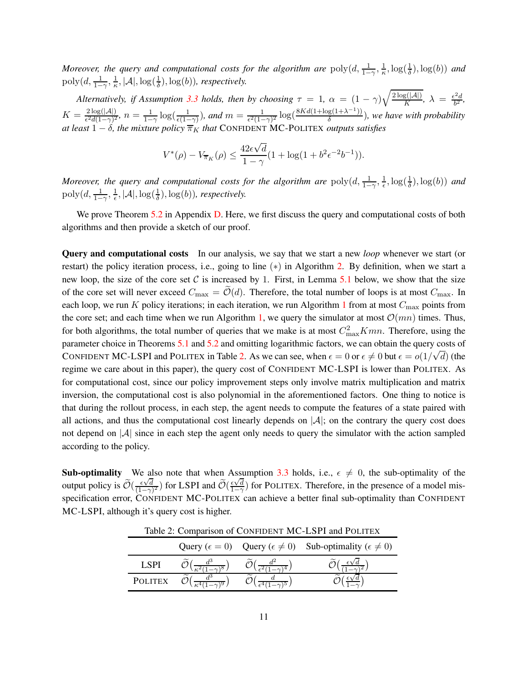*Moreover, the query and computational costs for the algorithm are*  $poly(d, \frac{1}{1-\gamma}, \frac{1}{\kappa})$  $\frac{1}{\kappa}, \log(\frac{1}{\delta}), \log(b))$  and  $\mathrm{poly}(d, \frac{1}{1-\gamma}, \frac{1}{\kappa})$  $\frac{1}{\kappa}, |\mathcal{A}|, \log(\frac{1}{\delta}), \log(b)$ *), respectively.* 

*Alternatively, if Assumption* [3.3](#page-6-1) *holds, then by choosing*  $\tau = 1$ ,  $\alpha = (1 - \gamma)\sqrt{\frac{2 \log(|\mathcal{A}|)}{K}}$ ,  $\lambda = \frac{\epsilon^2 d}{b^2}$  $\frac{d}{b^2}$ ,  $K = \frac{2 \log(|\mathcal{A}|)}{\epsilon^2 d (1 - \gamma)^2}, n = \frac{1}{1 - \gamma}$  $\frac{1}{1-\gamma}\log(\frac{1}{\epsilon(1-\gamma)}),$  and  $m=\frac{1}{\epsilon^2(1-\gamma)}$  $\frac{1}{\epsilon^2(1-\gamma)^2} \log\left(\frac{8Kd(1+\log(1+\lambda^{-1}))}{\delta}\right)$  $\frac{g(1+\lambda^{-1})}{\delta}$ ), we have with probability *at least*  $1 - \delta$ *, the mixture policy*  $\overline{\pi}_K$  *that* CONFIDENT MC-POLITEX *outputs satisfies* 

$$
V^*(\rho) - V_{\overline{\pi}_K}(\rho) \le \frac{42\epsilon\sqrt{d}}{1-\gamma} (1 + \log(1 + b^2\epsilon^{-2}b^{-1})).
$$

*Moreover, the query and computational costs for the algorithm are*  $poly(d, \frac{1}{1-\gamma}, \frac{1}{\epsilon})$  $\frac{1}{\epsilon}, \log(\frac{1}{\delta}), \log(b))$  and  $\operatorname{poly}(d, \frac{1}{1-\gamma}, \frac{1}{\epsilon})$  $\frac{1}{\epsilon}, |\mathcal{A}|, \log(\frac{1}{\delta}), \log(b)$ *), respectively.* 

We prove Theorem [5.2](#page-9-1) in Appendix [D.](#page-24-0) Here, we first discuss the query and computational costs of both algorithms and then provide a sketch of our proof.

Query and computational costs In our analysis, we say that we start a new *loop* whenever we start (or restart) the policy iteration process, i.e., going to line (∗) in Algorithm [2.](#page-9-0) By definition, when we start a new loop, the size of the core set C is increased by 1. First, in Lemma [5.1](#page-11-0) below, we show that the size of the core set will never exceed  $C_{\text{max}} = \tilde{\mathcal{O}}(d)$ . Therefore, the total number of loops is at most  $C_{\text{max}}$ . In each loop, we run K policy iterations; in each iteration, we run Algorithm [1](#page-7-0) from at most  $C_{\text{max}}$  points from the core set; and each time when we run Algorithm [1,](#page-7-0) we query the simulator at most  $\mathcal{O}(mn)$  times. Thus, for both algorithms, the total number of queries that we make is at most  $C_{\text{max}}^2 Kmn$ . Therefore, using the parameter choice in Theorems [5.1](#page-8-1) and [5.2](#page-9-1) and omitting logarithmic factors, we can obtain the query costs of CONFIDENT MC-LSPI and POLITEX in Table [2.](#page-10-0) As we can see, when  $\epsilon = 0$  or  $\epsilon \neq 0$  but  $\epsilon = o(1/\sqrt{d})$  (the regime we care about in this paper), the query cost of CONFIDENT MC-LSPI is lower than POLITEX. As for computational cost, since our policy improvement steps only involve matrix multiplication and matrix inversion, the computational cost is also polynomial in the aforementioned factors. One thing to notice is that during the rollout process, in each step, the agent needs to compute the features of a state paired with all actions, and thus the computational cost linearly depends on  $|\mathcal{A}|$ ; on the contrary the query cost does not depend on  $|\mathcal{A}|$  since in each step the agent only needs to query the simulator with the action sampled according to the policy.

**Sub-optimality** We also note that when Assumption [3.3](#page-6-1) holds, i.e.,  $\epsilon \neq 0$ , the sub-optimality of the output policy is  $\widetilde{\mathcal{O}}(\frac{\epsilon \sqrt{d}}{(1-\gamma)})$  $\frac{\epsilon \sqrt{d}}{(1-\gamma)^2}$ ) for LSPI and  $\widetilde{\mathcal{O}}(\frac{\epsilon \sqrt{d}}{1-\gamma})$  $\frac{\epsilon \sqrt{d}}{1-\gamma}$ ) for POLITEX. Therefore, in the presence of a model misspecification error, CONFIDENT MC-POLITEX can achieve a better final sub-optimality than CONFIDENT MC-LSPI, although it's query cost is higher.

| Tuble 2. Companion of Contributies and Lot I and I official |  |  |                                                                                           |  |  |  |
|-------------------------------------------------------------|--|--|-------------------------------------------------------------------------------------------|--|--|--|
|                                                             |  |  | Query ( $\epsilon = 0$ ) Query ( $\epsilon \neq 0$ ) Sub-optimality ( $\epsilon \neq 0$ ) |  |  |  |
| <b>LSPI</b>                                                 |  |  |                                                                                           |  |  |  |
| <b>POLITEX</b>                                              |  |  |                                                                                           |  |  |  |

<span id="page-10-0"></span>Table 2: Comparison of CONFIDENT MC-LSPI and POLITEX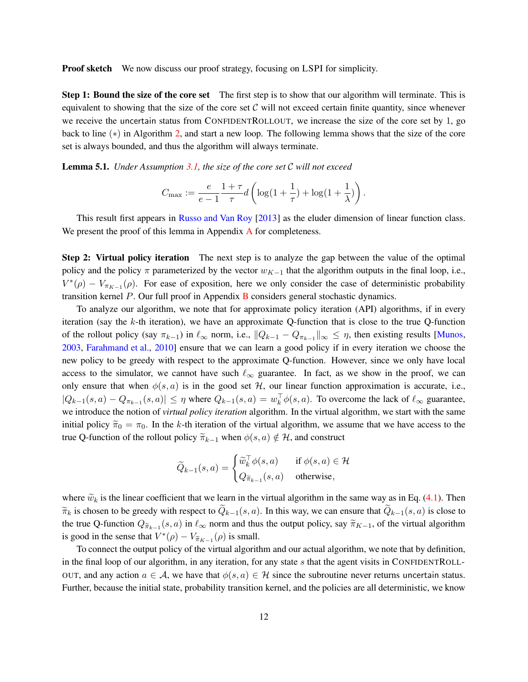**Proof sketch** We now discuss our proof strategy, focusing on LSPI for simplicity.

Step 1: Bound the size of the core set The first step is to show that our algorithm will terminate. This is equivalent to showing that the size of the core set  $C$  will not exceed certain finite quantity, since whenever we receive the uncertain status from CONFIDENTROLLOUT, we increase the size of the core set by 1, go back to line (∗) in Algorithm [2,](#page-9-0) and start a new loop. The following lemma shows that the size of the core set is always bounded, and thus the algorithm will always terminate.

<span id="page-11-0"></span>Lemma 5.1. *Under Assumption [3.1,](#page-6-2) the size of the core set* C *will not exceed*

$$
C_{\max} := \frac{e}{e-1} \frac{1+\tau}{\tau} d\left(\log(1+\frac{1}{\tau}) + \log(1+\frac{1}{\lambda})\right).
$$

This result first appears in [Russo and Van Roy](#page-14-13) [\[2013](#page-14-13)] as the eluder dimension of linear function class. We present the proof of this lemma in [A](#page-15-5)ppendix A for completeness.

Step 2: Virtual policy iteration The next step is to analyze the gap between the value of the optimal policy and the policy  $\pi$  parameterized by the vector  $w_{K-1}$  that the algorithm outputs in the final loop, i.e.,  $V^*(\rho) - V_{\pi_{K-1}}(\rho)$ . For ease of exposition, here we only consider the case of deterministic probability transition kernel  $P$ . Our full proof in Appendix  $B$  considers general stochastic dynamics.

To analyze our algorithm, we note that for approximate policy iteration (API) algorithms, if in every iteration (say the k-th iteration), we have an approximate Q-function that is close to the true Q-function of the rollout policy (say  $\pi_{k-1}$ ) in  $\ell_{\infty}$  norm, i.e.,  $||Q_{k-1} - Q_{\pi_{k-1}}||_{\infty} \leq \eta$ , then existing results [\[Munos](#page-14-4), [2003,](#page-14-4) [Farahmand et al.](#page-13-5), [2010](#page-13-5)] ensure that we can learn a good policy if in every iteration we choose the new policy to be greedy with respect to the approximate Q-function. However, since we only have local access to the simulator, we cannot have such  $\ell_{\infty}$  guarantee. In fact, as we show in the proof, we can only ensure that when  $\phi(s, a)$  is in the good set H, our linear function approximation is accurate, i.e.,  $|Q_{k-1}(s, a) - Q_{\pi_{k-1}}(s, a)| \leq \eta$  where  $Q_{k-1}(s, a) = w_k^{\perp} \phi(s, a)$ . To overcome the lack of  $\ell_{\infty}$  guarantee, we introduce the notion of *virtual policy iteration* algorithm. In the virtual algorithm, we start with the same initial policy  $\tilde{\pi}_0 = \pi_0$ . In the k-th iteration of the virtual algorithm, we assume that we have access to the true Q-function of the rollout policy  $\widetilde{\pi}_{k-1}$  when  $\phi(s, a) \notin \mathcal{H}$ , and construct

$$
\widetilde{Q}_{k-1}(s,a) = \begin{cases} \widetilde{w}_k^\top \phi(s,a) & \text{ if } \phi(s,a) \in \mathcal{H} \\ Q_{\widetilde{\pi}_{k-1}}(s,a) & \text{ otherwise}, \end{cases}
$$

where  $\widetilde{w}_k$  is the linear coefficient that we learn in the virtual algorithm in the same way as in Eq. [\(4.1\)](#page-8-2). Then  $\widetilde{\pi}_k$  is chosen to be greedy with respect to  $Q_{k-1}(s, a)$ . In this way, we can ensure that  $Q_{k-1}(s, a)$  is close to the true Q-function  $Q_{\tilde{\pi}_{k-1}}(s, a)$  in  $\ell_{\infty}$  norm and thus the output policy, say  $\tilde{\pi}_{K-1}$ , of the virtual algorithm is good in the sense that  $V^*(\rho) - V_{\tilde{\pi}_{K-1}}(\rho)$  is small.

To connect the output policy of the virtual algorithm and our actual algorithm, we note that by definition, in the final loop of our algorithm, in any iteration, for any state s that the agent visits in CONFIDENTROLL-OUT, and any action  $a \in \mathcal{A}$ , we have that  $\phi(s, a) \in \mathcal{H}$  since the subroutine never returns uncertain status. Further, because the initial state, probability transition kernel, and the policies are all deterministic, we know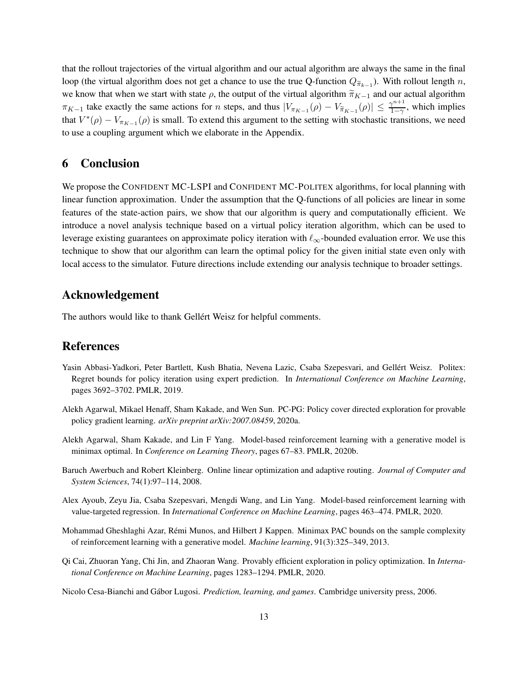that the rollout trajectories of the virtual algorithm and our actual algorithm are always the same in the final loop (the virtual algorithm does not get a chance to use the true Q-function  $Q_{\widetilde{\pi}_{k-1}}$ ). With rollout length n, we know that when we start with state  $\rho$ , the output of the virtual algorithm  $\tilde{\pi}_{K-1}$  and our actual algorithm  $\pi_{K-1}$  take exactly the same actions for n steps, and thus  $|V_{\pi_{K-1}}(\rho) - V_{\pi_{K-1}}(\rho)| \leq \frac{\gamma^{n+1}}{1-\gamma}$  $\frac{\gamma^{n+1}}{1-\gamma}$ , which implies that  $V^*(\rho) - V_{\pi_{K-1}}(\rho)$  is small. To extend this argument to the setting with stochastic transitions, we need to use a coupling argument which we elaborate in the Appendix.

### 6 Conclusion

We propose the CONFIDENT MC-LSPI and CONFIDENT MC-POLITEX algorithms, for local planning with linear function approximation. Under the assumption that the Q-functions of all policies are linear in some features of the state-action pairs, we show that our algorithm is query and computationally efficient. We introduce a novel analysis technique based on a virtual policy iteration algorithm, which can be used to leverage existing guarantees on approximate policy iteration with  $\ell_{\infty}$ -bounded evaluation error. We use this technique to show that our algorithm can learn the optimal policy for the given initial state even only with local access to the simulator. Future directions include extending our analysis technique to broader settings.

### Acknowledgement

The authors would like to thank Gellért Weisz for helpful comments.

### References

- <span id="page-12-1"></span>Yasin Abbasi-Yadkori, Peter Bartlett, Kush Bhatia, Nevena Lazic, Csaba Szepesvari, and Gellért Weisz. Politex: Regret bounds for policy iteration using expert prediction. In *International Conference on Machine Learning*, pages 3692–3702. PMLR, 2019.
- <span id="page-12-3"></span>Alekh Agarwal, Mikael Henaff, Sham Kakade, and Wen Sun. PC-PG: Policy cover directed exploration for provable policy gradient learning. *arXiv preprint arXiv:2007.08459*, 2020a.
- <span id="page-12-4"></span>Alekh Agarwal, Sham Kakade, and Lin F Yang. Model-based reinforcement learning with a generative model is minimax optimal. In *Conference on Learning Theory*, pages 67–83. PMLR, 2020b.
- <span id="page-12-0"></span>Baruch Awerbuch and Robert Kleinberg. Online linear optimization and adaptive routing. *Journal of Computer and System Sciences*, 74(1):97–114, 2008.
- <span id="page-12-6"></span>Alex Ayoub, Zeyu Jia, Csaba Szepesvari, Mengdi Wang, and Lin Yang. Model-based reinforcement learning with value-targeted regression. In *International Conference on Machine Learning*, pages 463–474. PMLR, 2020.
- <span id="page-12-5"></span>Mohammad Gheshlaghi Azar, Rémi Munos, and Hilbert J Kappen. Minimax PAC bounds on the sample complexity of reinforcement learning with a generative model. *Machine learning*, 91(3):325–349, 2013.
- <span id="page-12-2"></span>Qi Cai, Zhuoran Yang, Chi Jin, and Zhaoran Wang. Provably efficient exploration in policy optimization. In *International Conference on Machine Learning*, pages 1283–1294. PMLR, 2020.
- <span id="page-12-7"></span>Nicolo Cesa-Bianchi and G´abor Lugosi. *Prediction, learning, and games*. Cambridge university press, 2006.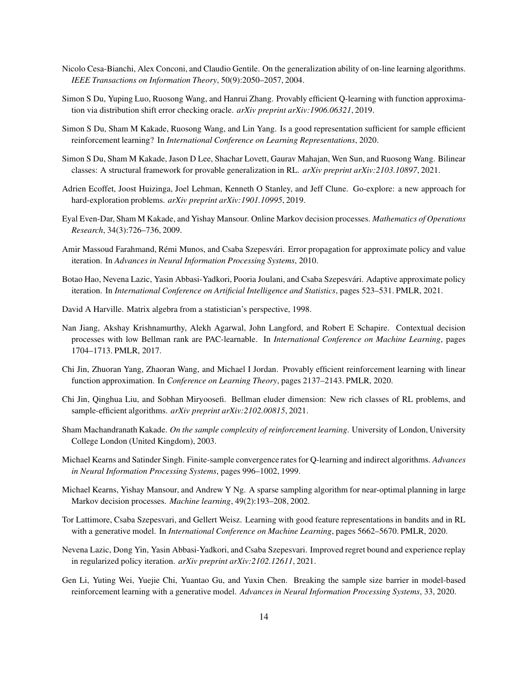- <span id="page-13-8"></span>Nicolo Cesa-Bianchi, Alex Conconi, and Claudio Gentile. On the generalization ability of on-line learning algorithms. *IEEE Transactions on Information Theory*, 50(9):2050–2057, 2004.
- <span id="page-13-16"></span>Simon S Du, Yuping Luo, Ruosong Wang, and Hanrui Zhang. Provably efficient Q-learning with function approximation via distribution shift error checking oracle. *arXiv preprint arXiv:1906.06321*, 2019.
- <span id="page-13-2"></span>Simon S Du, Sham M Kakade, Ruosong Wang, and Lin Yang. Is a good representation sufficient for sample efficient reinforcement learning? In *International Conference on Learning Representations*, 2020.
- <span id="page-13-10"></span>Simon S Du, Sham M Kakade, Jason D Lee, Shachar Lovett, Gaurav Mahajan, Wen Sun, and Ruosong Wang. Bilinear classes: A structural framework for provable generalization in RL. *arXiv preprint arXiv:2103.10897*, 2021.
- <span id="page-13-7"></span>Adrien Ecoffet, Joost Huizinga, Joel Lehman, Kenneth O Stanley, and Jeff Clune. Go-explore: a new approach for hard-exploration problems. *arXiv preprint arXiv:1901.10995*, 2019.
- <span id="page-13-3"></span>Eyal Even-Dar, Sham M Kakade, and Yishay Mansour. Online Markov decision processes. *Mathematics of Operations Research*, 34(3):726–736, 2009.
- <span id="page-13-5"></span>Amir Massoud Farahmand, Rémi Munos, and Csaba Szepesvári. Error propagation for approximate policy and value iteration. In *Advances in Neural Information Processing Systems*, 2010.
- <span id="page-13-14"></span>Botao Hao, Nevena Lazic, Yasin Abbasi-Yadkori, Pooria Joulani, and Csaba Szepesvári. Adaptive approximate policy iteration. In *International Conference on Artificial Intelligence and Statistics*, pages 523–531. PMLR, 2021.
- <span id="page-13-17"></span>David A Harville. Matrix algebra from a statistician's perspective, 1998.
- <span id="page-13-9"></span>Nan Jiang, Akshay Krishnamurthy, Alekh Agarwal, John Langford, and Robert E Schapire. Contextual decision processes with low Bellman rank are PAC-learnable. In *International Conference on Machine Learning*, pages 1704–1713. PMLR, 2017.
- <span id="page-13-4"></span>Chi Jin, Zhuoran Yang, Zhaoran Wang, and Michael I Jordan. Provably efficient reinforcement learning with linear function approximation. In *Conference on Learning Theory*, pages 2137–2143. PMLR, 2020.
- <span id="page-13-15"></span>Chi Jin, Qinghua Liu, and Sobhan Miryoosefi. Bellman eluder dimension: New rich classes of RL problems, and sample-efficient algorithms. *arXiv preprint arXiv:2102.00815*, 2021.
- <span id="page-13-0"></span>Sham Machandranath Kakade. *On the sample complexity of reinforcement learning*. University of London, University College London (United Kingdom), 2003.
- <span id="page-13-6"></span>Michael Kearns and Satinder Singh. Finite-sample convergence rates for Q-learning and indirect algorithms. *Advances in Neural Information Processing Systems*, pages 996–1002, 1999.
- <span id="page-13-13"></span>Michael Kearns, Yishay Mansour, and Andrew Y Ng. A sparse sampling algorithm for near-optimal planning in large Markov decision processes. *Machine learning*, 49(2):193–208, 2002.
- <span id="page-13-1"></span>Tor Lattimore, Csaba Szepesvari, and Gellert Weisz. Learning with good feature representations in bandits and in RL with a generative model. In *International Conference on Machine Learning*, pages 5662–5670. PMLR, 2020.
- <span id="page-13-11"></span>Nevena Lazic, Dong Yin, Yasin Abbasi-Yadkori, and Csaba Szepesvari. Improved regret bound and experience replay in regularized policy iteration. *arXiv preprint arXiv:2102.12611*, 2021.
- <span id="page-13-12"></span>Gen Li, Yuting Wei, Yuejie Chi, Yuantao Gu, and Yuxin Chen. Breaking the sample size barrier in model-based reinforcement learning with a generative model. *Advances in Neural Information Processing Systems*, 33, 2020.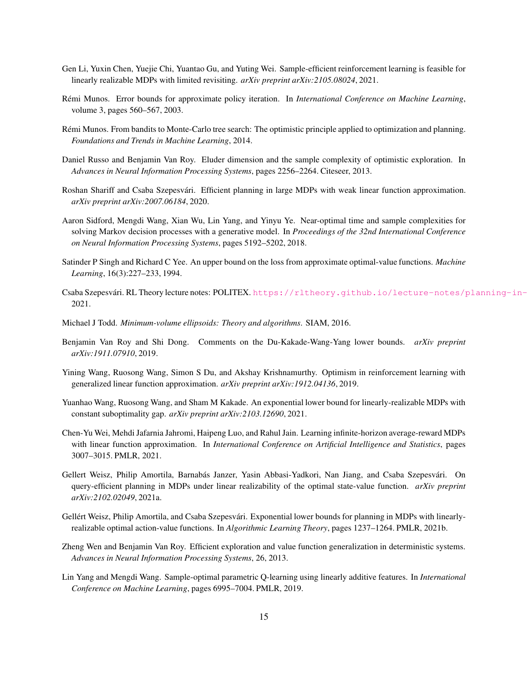- <span id="page-14-7"></span>Gen Li, Yuxin Chen, Yuejie Chi, Yuantao Gu, and Yuting Wei. Sample-efficient reinforcement learning is feasible for linearly realizable MDPs with limited revisiting. *arXiv preprint arXiv:2105.08024*, 2021.
- <span id="page-14-4"></span>R´emi Munos. Error bounds for approximate policy iteration. In *International Conference on Machine Learning*, volume 3, pages 560–567, 2003.
- <span id="page-14-11"></span>R´emi Munos. From bandits to Monte-Carlo tree search: The optimistic principle applied to optimization and planning. *Foundations and Trends in Machine Learning*, 2014.
- <span id="page-14-13"></span>Daniel Russo and Benjamin Van Roy. Eluder dimension and the sample complexity of optimistic exploration. In *Advances in Neural Information Processing Systems*, pages 2256–2264. Citeseer, 2013.
- <span id="page-14-6"></span>Roshan Shariff and Csaba Szepesvári. Efficient planning in large MDPs with weak linear function approximation. *arXiv preprint arXiv:2007.06184*, 2020.
- <span id="page-14-0"></span>Aaron Sidford, Mengdi Wang, Xian Wu, Lin Yang, and Yinyu Ye. Near-optimal time and sample complexities for solving Markov decision processes with a generative model. In *Proceedings of the 32nd International Conference on Neural Information Processing Systems*, pages 5192–5202, 2018.
- <span id="page-14-16"></span>Satinder P Singh and Richard C Yee. An upper bound on the loss from approximate optimal-value functions. *Machine Learning*, 16(3):227–233, 1994.
- <span id="page-14-15"></span>Csaba Szepesvári. RL Theory lecture notes: POLITEX. https://rltheory.github.io/lecture-notes/planning-in-2021.
- <span id="page-14-3"></span>Michael J Todd. *Minimum-volume ellipsoids: Theory and algorithms*. SIAM, 2016.
- <span id="page-14-10"></span>Benjamin Van Roy and Shi Dong. Comments on the Du-Kakade-Wang-Yang lower bounds. *arXiv preprint arXiv:1911.07910*, 2019.
- <span id="page-14-14"></span>Yining Wang, Ruosong Wang, Simon S Du, and Akshay Krishnamurthy. Optimism in reinforcement learning with generalized linear function approximation. *arXiv preprint arXiv:1912.04136*, 2019.
- <span id="page-14-9"></span>Yuanhao Wang, Ruosong Wang, and Sham M Kakade. An exponential lower bound for linearly-realizable MDPs with constant suboptimality gap. *arXiv preprint arXiv:2103.12690*, 2021.
- <span id="page-14-8"></span>Chen-Yu Wei, Mehdi Jafarnia Jahromi, Haipeng Luo, and Rahul Jain. Learning infinite-horizon average-reward MDPs with linear function approximation. In *International Conference on Artificial Intelligence and Statistics*, pages 3007–3015. PMLR, 2021.
- <span id="page-14-5"></span>Gellert Weisz, Philip Amortila, Barnabás Janzer, Yasin Abbasi-Yadkori, Nan Jiang, and Csaba Szepesvári. On query-efficient planning in MDPs under linear realizability of the optimal state-value function. *arXiv preprint arXiv:2102.02049*, 2021a.
- <span id="page-14-2"></span>Gellért Weisz, Philip Amortila, and Csaba Szepesvári. Exponential lower bounds for planning in MDPs with linearlyrealizable optimal action-value functions. In *Algorithmic Learning Theory*, pages 1237–1264. PMLR, 2021b.
- <span id="page-14-12"></span>Zheng Wen and Benjamin Van Roy. Efficient exploration and value function generalization in deterministic systems. *Advances in Neural Information Processing Systems*, 26, 2013.
- <span id="page-14-1"></span>Lin Yang and Mengdi Wang. Sample-optimal parametric Q-learning using linearly additive features. In *International Conference on Machine Learning*, pages 6995–7004. PMLR, 2019.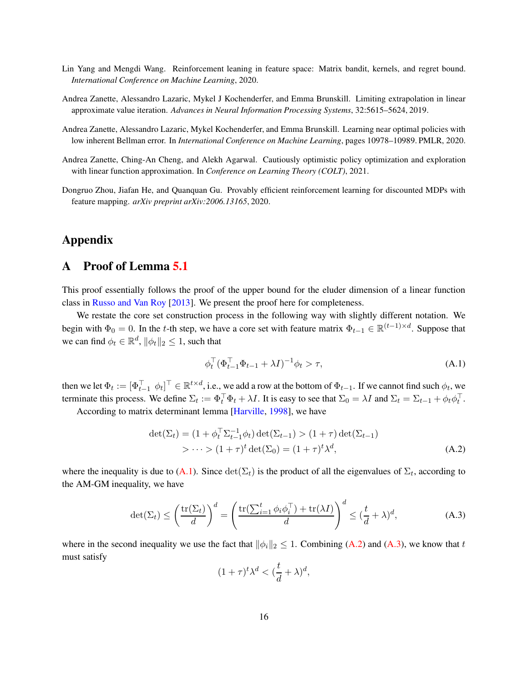- <span id="page-15-4"></span>Lin Yang and Mengdi Wang. Reinforcement leaning in feature space: Matrix bandit, kernels, and regret bound. *International Conference on Machine Learning*, 2020.
- <span id="page-15-2"></span>Andrea Zanette, Alessandro Lazaric, Mykel J Kochenderfer, and Emma Brunskill. Limiting extrapolation in linear approximate value iteration. *Advances in Neural Information Processing Systems*, 32:5615–5624, 2019.
- <span id="page-15-0"></span>Andrea Zanette, Alessandro Lazaric, Mykel Kochenderfer, and Emma Brunskill. Learning near optimal policies with low inherent Bellman error. In *International Conference on Machine Learning*, pages 10978–10989. PMLR, 2020.
- <span id="page-15-3"></span>Andrea Zanette, Ching-An Cheng, and Alekh Agarwal. Cautiously optimistic policy optimization and exploration with linear function approximation. In *Conference on Learning Theory (COLT)*, 2021.
- <span id="page-15-1"></span>Dongruo Zhou, Jiafan He, and Quanquan Gu. Provably efficient reinforcement learning for discounted MDPs with feature mapping. *arXiv preprint arXiv:2006.13165*, 2020.

## <span id="page-15-5"></span>Appendix

## A Proof of Lemma [5.1](#page-11-0)

This proof essentially follows the proof of the upper bound for the eluder dimension of a linear function class in [Russo and Van Roy](#page-14-13) [\[2013\]](#page-14-13). We present the proof here for completeness.

We restate the core set construction process in the following way with slightly different notation. We begin with  $\Phi_0 = 0$ . In the t-th step, we have a core set with feature matrix  $\Phi_{t-1} \in \mathbb{R}^{(t-1)\times d}$ . Suppose that we can find  $\phi_t \in \mathbb{R}^d$ ,  $\|\phi_t\|_2 \leq 1$ , such that

<span id="page-15-7"></span><span id="page-15-6"></span>
$$
\phi_t^\top (\Phi_{t-1}^\top \Phi_{t-1} + \lambda I)^{-1} \phi_t > \tau,
$$
\n(A.1)

then we let  $\Phi_t := [\Phi_{t-1}^\top \; \phi_t]^\top \in \mathbb{R}^{t \times d}$ , i.e., we add a row at the bottom of  $\Phi_{t-1}$ . If we cannot find such  $\phi_t$ , we terminate this process. We define  $\Sigma_t := \Phi_t^{\top} \Phi_t + \lambda I$ . It is easy to see that  $\Sigma_0 = \lambda I$  and  $\Sigma_t = \Sigma_{t-1} + \phi_t \phi_t^{\top}$ .

According to matrix determinant lemma [\[Harville](#page-13-17), [1998](#page-13-17)], we have

$$
\det(\Sigma_t) = (1 + \phi_t^{\top} \Sigma_{t-1}^{-1} \phi_t) \det(\Sigma_{t-1}) > (1 + \tau) \det(\Sigma_{t-1})
$$
  
>  $\cdots > (1 + \tau)^t \det(\Sigma_0) = (1 + \tau)^t \lambda^d,$  (A.2)

where the inequality is due to [\(A.1\)](#page-15-6). Since  $\det(\Sigma_t)$  is the product of all the eigenvalues of  $\Sigma_t$ , according to the AM-GM inequality, we have

$$
\det(\Sigma_t) \le \left(\frac{\text{tr}(\Sigma_t)}{d}\right)^d = \left(\frac{\text{tr}(\sum_{i=1}^t \phi_i \phi_i^\top) + \text{tr}(\lambda I)}{d}\right)^d \le (\frac{t}{d} + \lambda)^d,\tag{A.3}
$$

where in the second inequality we use the fact that  $\|\phi_i\|_2 \leq 1$ . Combining [\(A.2\)](#page-15-7) and [\(A.3\)](#page-15-8), we know that t must satisfy

<span id="page-15-8"></span>
$$
(1+\tau)^t \lambda^d < \left(\frac{t}{d} + \lambda\right)^d,
$$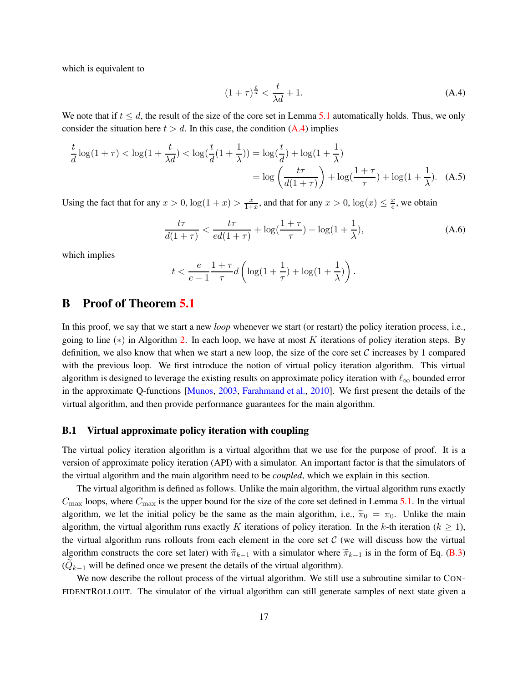which is equivalent to

<span id="page-16-1"></span>
$$
(1+\tau)^{\frac{t}{d}} < \frac{t}{\lambda d} + 1. \tag{A.4}
$$

We note that if  $t \leq d$ , the result of the size of the core set in Lemma [5.1](#page-11-0) automatically holds. Thus, we only consider the situation here  $t > d$ . In this case, the condition [\(A.4\)](#page-16-1) implies

$$
\frac{t}{d}\log(1+\tau) < \log(1+\frac{t}{\lambda d}) < \log(\frac{t}{d}(1+\frac{1}{\lambda})) = \log(\frac{t}{d}) + \log(1+\frac{1}{\lambda}) \\
= \log\left(\frac{t\tau}{d(1+\tau)}\right) + \log(\frac{1+\tau}{\tau}) + \log(1+\frac{1}{\lambda}).\tag{A.5}
$$

Using the fact that for any  $x > 0$ ,  $\log(1 + x) > \frac{x}{1 + x}$  $\frac{x}{1+x}$ , and that for any  $x > 0$ ,  $\log(x) \leq \frac{x}{e}$  $\frac{x}{e}$ , we obtain

$$
\frac{t\tau}{d(1+\tau)} < \frac{t\tau}{ed(1+\tau)} + \log\left(\frac{1+\tau}{\tau}\right) + \log(1+\frac{1}{\lambda}),\tag{A.6}
$$

which implies

$$
t<\frac{e}{e-1}\frac{1+\tau}{\tau}d\left(\log(1+\frac{1}{\tau})+\log(1+\frac{1}{\lambda})\right).
$$

#### <span id="page-16-0"></span>B Proof of Theorem [5.1](#page-8-1)

In this proof, we say that we start a new *loop* whenever we start (or restart) the policy iteration process, i.e., going to line  $(*)$  in Algorithm [2.](#page-9-0) In each loop, we have at most K iterations of policy iteration steps. By definition, we also know that when we start a new loop, the size of the core set  $\mathcal C$  increases by 1 compared with the previous loop. We first introduce the notion of virtual policy iteration algorithm. This virtual algorithm is designed to leverage the existing results on approximate policy iteration with  $\ell_{\infty}$  bounded error in the approximate Q-functions [\[Munos](#page-14-4), [2003](#page-14-4), [Farahmand et al.](#page-13-5), [2010\]](#page-13-5). We first present the details of the virtual algorithm, and then provide performance guarantees for the main algorithm.

#### <span id="page-16-2"></span>B.1 Virtual approximate policy iteration with coupling

The virtual policy iteration algorithm is a virtual algorithm that we use for the purpose of proof. It is a version of approximate policy iteration (API) with a simulator. An important factor is that the simulators of the virtual algorithm and the main algorithm need to be *coupled*, which we explain in this section.

The virtual algorithm is defined as follows. Unlike the main algorithm, the virtual algorithm runs exactly  $C_{\text{max}}$  loops, where  $C_{\text{max}}$  is the upper bound for the size of the core set defined in Lemma [5.1.](#page-11-0) In the virtual algorithm, we let the initial policy be the same as the main algorithm, i.e.,  $\tilde{\pi}_0 = \pi_0$ . Unlike the main algorithm, the virtual algorithm runs exactly K iterations of policy iteration. In the k-th iteration ( $k \ge 1$ ), the virtual algorithm runs rollouts from each element in the core set  $C$  (we will discuss how the virtual algorithm constructs the core set later) with  $\tilde{\pi}_{k-1}$  with a simulator where  $\tilde{\pi}_{k-1}$  is in the form of Eq. [\(B.3\)](#page-17-0)  $(Q_{k-1}$  will be defined once we present the details of the virtual algorithm).

We now describe the rollout process of the virtual algorithm. We still use a subroutine similar to CON-FIDENTROLLOUT. The simulator of the virtual algorithm can still generate samples of next state given a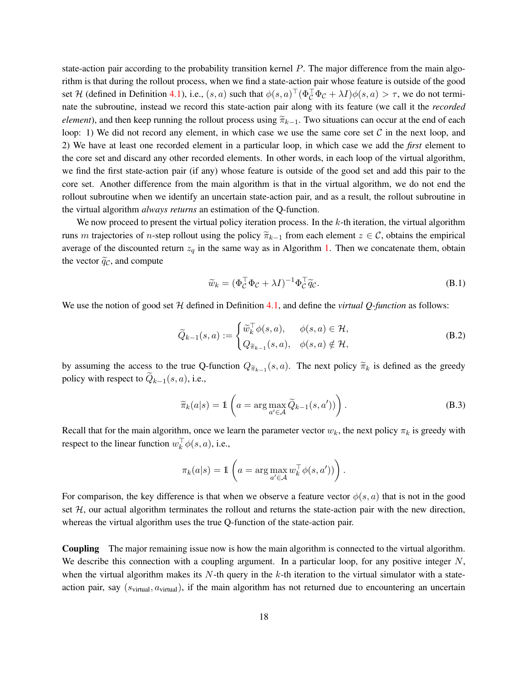state-action pair according to the probability transition kernel  $P$ . The major difference from the main algorithm is that during the rollout process, when we find a state-action pair whose feature is outside of the good set H (defined in Definition [4.1\)](#page-6-3), i.e.,  $(s, a)$  such that  $\phi(s, a) \mid (\Phi_c^{\perp} \Phi_c + \lambda I) \phi(s, a) > \tau$ , we do not terminate the subroutine, instead we record this state-action pair along with its feature (we call it the *recorded element*), and then keep running the rollout process using  $\tilde{\pi}_{k-1}$ . Two situations can occur at the end of each loop: 1) We did not record any element, in which case we use the same core set  $\mathcal C$  in the next loop, and 2) We have at least one recorded element in a particular loop, in which case we add the *first* element to the core set and discard any other recorded elements. In other words, in each loop of the virtual algorithm, we find the first state-action pair (if any) whose feature is outside of the good set and add this pair to the core set. Another difference from the main algorithm is that in the virtual algorithm, we do not end the rollout subroutine when we identify an uncertain state-action pair, and as a result, the rollout subroutine in the virtual algorithm *always returns* an estimation of the Q-function.

We now proceed to present the virtual policy iteration process. In the  $k$ -th iteration, the virtual algorithm runs m trajectories of n-step rollout using the policy  $\widetilde{\pi}_{k-1}$  from each element  $z \in \mathcal{C}$ , obtains the empirical average of the discounted return  $z_q$  in the same way as in Algorithm [1.](#page-7-0) Then we concatenate them, obtain the vector  $\tilde{q}_c$ , and compute

<span id="page-17-2"></span><span id="page-17-1"></span>
$$
\widetilde{w}_k = (\Phi_C^\top \Phi_C + \lambda I)^{-1} \Phi_C^\top \widetilde{q}_C. \tag{B.1}
$$

We use the notion of good set  $H$  defined in Definition [4.1,](#page-6-3) and define the *virtual Q-function* as follows:

$$
\widetilde{Q}_{k-1}(s,a) := \begin{cases} \widetilde{w}_k^{\top} \phi(s,a), & \phi(s,a) \in \mathcal{H}, \\ Q_{\widetilde{\pi}_{k-1}}(s,a), & \phi(s,a) \notin \mathcal{H}, \end{cases}
$$
\n(B.2)

by assuming the access to the true Q-function  $Q_{\widetilde{\pi}_{k-1}}(s, a)$ . The next policy  $\widetilde{\pi}_k$  is defined as the greedy policy with respect to  $Q_{k-1}(s, a)$ , i.e.,

<span id="page-17-0"></span>
$$
\widetilde{\pi}_k(a|s) = \mathbb{1}\left(a = \arg\max_{a' \in \mathcal{A}} \widetilde{Q}_{k-1}(s, a'))\right).
$$
\n(B.3)

Recall that for the main algorithm, once we learn the parameter vector  $w_k$ , the next policy  $\pi_k$  is greedy with respect to the linear function  $w_k^{\perp} \phi(s, a)$ , i.e.,

$$
\pi_k(a|s) = \mathbb{1}\left(a = \arg\max_{a' \in \mathcal{A}} w_k^{\top} \phi(s, a'))\right).
$$

For comparison, the key difference is that when we observe a feature vector  $\phi(s, a)$  that is not in the good set  $H$ , our actual algorithm terminates the rollout and returns the state-action pair with the new direction, whereas the virtual algorithm uses the true Q-function of the state-action pair.

Coupling The major remaining issue now is how the main algorithm is connected to the virtual algorithm. We describe this connection with a coupling argument. In a particular loop, for any positive integer  $N$ , when the virtual algorithm makes its  $N$ -th query in the k-th iteration to the virtual simulator with a stateaction pair, say  $(s_{\text{virtual}}, a_{\text{virtual}})$ , if the main algorithm has not returned due to encountering an uncertain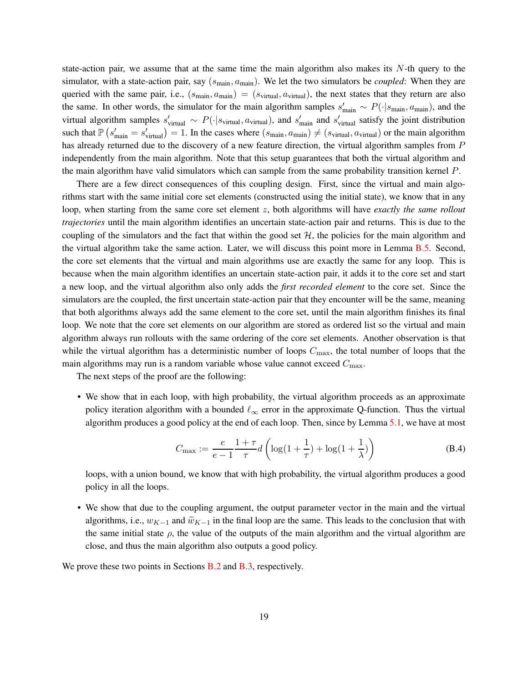state-action pair, we assume that at the same time the main algorithm also makes its  $N$ -th query to the simulator, with a state-action pair, say  $(s_{\text{main}}, a_{\text{main}})$ . We let the two simulators be *coupled*: When they are queried with the same pair, i.e.,  $(s_{\text{main}}, a_{\text{main}}) = (s_{\text{virtual}}, a_{\text{virtual}})$ , the next states that they return are also the same. In other words, the simulator for the main algorithm samples  $s'_{\text{main}} \sim P(\cdot | s_{\text{main}}, a_{\text{main}})$ , and the virtual algorithm samples  $s'_{\text{virtual}} \sim P(\cdot | s_{\text{virtual}}, a_{\text{virtual}})$ , and  $s'_{\text{main}}$  and  $s'_{\text{virtual}}$  satisfy the joint distribution such that  $\mathbb{P}\left(s'_{\text{main}}=s'_{\text{virtual}}\right)=1$ . In the cases where  $(s_{\text{main}}, a_{\text{main}}) \neq (s_{\text{virtual}}, a_{\text{virtual}})$  or the main algorithm has already returned due to the discovery of a new feature direction, the virtual algorithm samples from P independently from the main algorithm. Note that this setup guarantees that both the virtual algorithm and the main algorithm have valid simulators which can sample from the same probability transition kernel P.

There are a few direct consequences of this coupling design. First, since the virtual and main algorithms start with the same initial core set elements (constructed using the initial state), we know that in any loop, when starting from the same core set element z, both algorithms will have *exactly the same rollout trajectories* until the main algorithm identifies an uncertain state-action pair and returns. This is due to the coupling of the simulators and the fact that within the good set  $H$ , the policies for the main algorithm and the virtual algorithm take the same action. Later, we will discuss this point more in Lemma [B.5.](#page-21-0) Second, the core set elements that the virtual and main algorithms use are exactly the same for any loop. This is because when the main algorithm identifies an uncertain state-action pair, it adds it to the core set and start a new loop, and the virtual algorithm also only adds the *first recorded element* to the core set. Since the simulators are the coupled, the first uncertain state-action pair that they encounter will be the same, meaning that both algorithms always add the same element to the core set, until the main algorithm finishes its final loop. We note that the core set elements on our algorithm are stored as ordered list so the virtual and main algorithm always run rollouts with the same ordering of the core set elements. Another observation is that while the virtual algorithm has a deterministic number of loops  $C_{\text{max}}$ , the total number of loops that the main algorithms may run is a random variable whose value cannot exceed  $C_{\text{max}}$ .

The next steps of the proof are the following:

• We show that in each loop, with high probability, the virtual algorithm proceeds as an approximate policy iteration algorithm with a bounded  $\ell_{\infty}$  error in the approximate Q-function. Thus the virtual algorithm produces a good policy at the end of each loop. Then, since by Lemma [5.1,](#page-11-0) we have at most

<span id="page-18-0"></span>
$$
C_{\max} := \frac{e}{e-1} \frac{1+\tau}{\tau} d\left(\log(1+\frac{1}{\tau}) + \log(1+\frac{1}{\lambda})\right)
$$
(B.4)

loops, with a union bound, we know that with high probability, the virtual algorithm produces a good policy in all the loops.

• We show that due to the coupling argument, the output parameter vector in the main and the virtual algorithms, i.e.,  $w_{K-1}$  and  $\widetilde{w}_{K-1}$  in the final loop are the same. This leads to the conclusion that with the same initial state  $\rho$ , the value of the outputs of the main algorithm and the virtual algorithm are close, and thus the main algorithm also outputs a good policy.

We prove these two points in Sections [B.2](#page-19-0) and [B.3,](#page-21-1) respectively.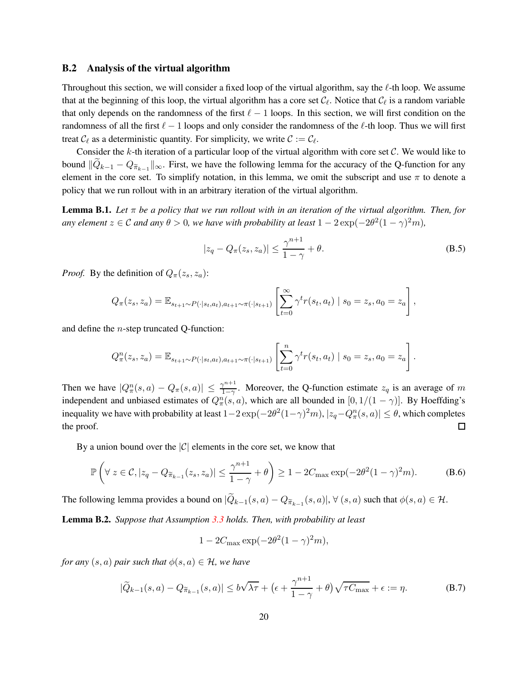#### <span id="page-19-0"></span>B.2 Analysis of the virtual algorithm

Throughout this section, we will consider a fixed loop of the virtual algorithm, say the  $\ell$ -th loop. We assume that at the beginning of this loop, the virtual algorithm has a core set  $C_{\ell}$ . Notice that  $C_{\ell}$  is a random variable that only depends on the randomness of the first  $\ell - 1$  loops. In this section, we will first condition on the randomness of all the first  $\ell - 1$  loops and only consider the randomness of the  $\ell$ -th loop. Thus we will first treat  $\mathcal{C}_{\ell}$  as a deterministic quantity. For simplicity, we write  $\mathcal{C} := \mathcal{C}_{\ell}$ .

Consider the  $k$ -th iteration of a particular loop of the virtual algorithm with core set  $C$ . We would like to bound  $||Q_{k-1} - Q_{\widetilde{\pi}_{k-1}}||_{\infty}$ . First, we have the following lemma for the accuracy of the Q-function for any element in the core set. To simplify notation, in this lemma, we omit the subscript and use  $\pi$  to denote a policy that we run rollout with in an arbitrary iteration of the virtual algorithm.

**Lemma B.1.** *Let*  $\pi$  *be a policy that we run rollout with in an iteration of the virtual algorithm. Then, for any element*  $z \in \mathcal{C}$  *and any*  $\theta > 0$ *, we have with probability at least*  $1 - 2 \exp(-2\theta^2(1 - \gamma)^2 m)$ *,* 

$$
|z_q - Q_\pi(z_s, z_a)| \le \frac{\gamma^{n+1}}{1 - \gamma} + \theta.
$$
 (B.5)

*Proof.* By the definition of  $Q_{\pi}(z_s, z_a)$ :

$$
Q_{\pi}(z_s, z_a) = \mathbb{E}_{s_{t+1} \sim P(\cdot | s_t, a_t), a_{t+1} \sim \pi(\cdot | s_{t+1})} \left[ \sum_{t=0}^{\infty} \gamma^t r(s_t, a_t) \mid s_0 = z_s, a_0 = z_a \right],
$$

and define the n-step truncated Q-function:

$$
Q_{\pi}^{n}(z_{s}, z_{a}) = \mathbb{E}_{s_{t+1} \sim P(\cdot | s_{t}, a_{t}), a_{t+1} \sim \pi(\cdot | s_{t+1})} \left[ \sum_{t=0}^{n} \gamma^{t} r(s_{t}, a_{t}) \mid s_{0} = z_{s}, a_{0} = z_{a} \right].
$$

Then we have  $|Q_{\pi}^n(s, a) - Q_{\pi}(s, a)| \leq \frac{\gamma^{n+1}}{1-\gamma}$ Moreover, the Q-function estimate  $z_q$  is an average of m independent and unbiased estimates of  $Q_{\pi}^n(s, a)$ , which are all bounded in  $[0, 1/(1 - \gamma)]$ . By Hoeffding's inequality we have with probability at least  $1-2\exp(-2\theta^2(1-\gamma)^2m)$ ,  $|z_q - Q_\pi^n(s, a)| \le \theta$ , which completes the proof.  $\Box$ 

By a union bound over the  $|C|$  elements in the core set, we know that

$$
\mathbb{P}\left(\forall z \in \mathcal{C}, |z_q - Q_{\widetilde{\pi}_{k-1}}(z_s, z_a)| \leq \frac{\gamma^{n+1}}{1-\gamma} + \theta\right) \geq 1 - 2C_{\max} \exp(-2\theta^2 (1-\gamma)^2 m). \tag{B.6}
$$

The following lemma provides a bound on  $|Q_{k-1}(s, a) - Q_{\widetilde{\pi}_{k-1}}(s, a)|$ ,  $\forall$   $(s, a)$  such that  $\phi(s, a) \in \mathcal{H}$ .

<span id="page-19-1"></span>Lemma B.2. *Suppose that Assumption [3.3](#page-6-1) holds. Then, with probability at least*

<span id="page-19-3"></span><span id="page-19-2"></span> $1 - 2C_{\text{max}} \exp(-2\theta^2 (1 - \gamma)^2 m),$ 

*for any*  $(s, a)$  *pair such that*  $\phi(s, a) \in \mathcal{H}$ *, we have* 

$$
|\widetilde{Q}_{k-1}(s,a) - Q_{\widetilde{\pi}_{k-1}}(s,a)| \le b\sqrt{\lambda\tau} + \left(\epsilon + \frac{\gamma^{n+1}}{1-\gamma} + \theta\right)\sqrt{\tau C_{\max}} + \epsilon := \eta.
$$
 (B.7)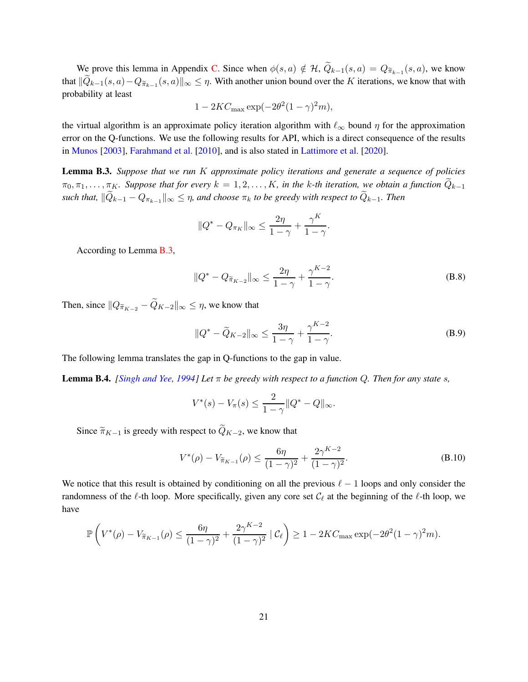We prove this lemma in Appendix [C.](#page-23-0) Since when  $\phi(s, a) \notin \mathcal{H}$ ,  $Q_{k-1}(s, a) = Q_{\widetilde{\pi}_{k-1}}(s, a)$ , we know that  $||Q_{k-1}(s, a)-Q_{\widetilde{\pi}_{k-1}}(s, a)||_{\infty} \leq \eta$ . With another union bound over the K iterations, we know that with probability at least

$$
1 - 2KC_{\text{max}} \exp(-2\theta^2 (1 - \gamma)^2 m),
$$

the virtual algorithm is an approximate policy iteration algorithm with  $\ell_{\infty}$  bound  $\eta$  for the approximation error on the Q-functions. We use the following results for API, which is a direct consequence of the results in [Munos](#page-14-4) [\[2003](#page-14-4)], [Farahmand et al.](#page-13-5) [\[2010\]](#page-13-5), and is also stated in [Lattimore et al.](#page-13-1) [\[2020](#page-13-1)].

<span id="page-20-0"></span>Lemma B.3. *Suppose that we run* K *approximate policy iterations and generate a sequence of policies*  $\pi_0, \pi_1, \ldots, \pi_K$ . Suppose that for every  $k = 1, 2, \ldots, K$ , in the k-th iteration, we obtain a function  $Q_{k-1}$  $\|such\ that,\ \|Q_{k-1} - Q_{\pi_{k-1}}\|_{\infty} \leq \eta$ , and choose  $\pi_k$  to be greedy with respect to  $Q_{k-1}$ . Then

$$
||Q^* - Q_{\pi_K}||_{\infty} \le \frac{2\eta}{1-\gamma} + \frac{\gamma^K}{1-\gamma}
$$

According to Lemma [B.3,](#page-20-0)

$$
||Q^* - Q_{\widetilde{\pi}_{K-2}}||_{\infty} \le \frac{2\eta}{1-\gamma} + \frac{\gamma^{K-2}}{1-\gamma}.
$$
 (B.8)

<span id="page-20-1"></span>.

Then, since  $||Q_{\widetilde{\pi}_{K-2}} - \widetilde{Q}_{K-2}||_{\infty} \leq \eta$ , we know that

$$
||Q^* - \widetilde{Q}_{K-2}||_{\infty} \le \frac{3\eta}{1-\gamma} + \frac{\gamma^{K-2}}{1-\gamma}.
$$
 (B.9)

The following lemma translates the gap in Q-functions to the gap in value.

Lemma B.4. *[\[Singh and Yee](#page-14-16), [1994](#page-14-16)] Let* π *be greedy with respect to a function* Q*. Then for any state* s*,*

$$
V^*(s) - V_{\pi}(s) \le \frac{2}{1 - \gamma} \|Q^* - Q\|_{\infty}.
$$

Since  $\widetilde{\pi}_{K-1}$  is greedy with respect to  $\widetilde{Q}_{K-2}$ , we know that

$$
V^*(\rho) - V_{\widetilde{\pi}_{K-1}}(\rho) \le \frac{6\eta}{(1-\gamma)^2} + \frac{2\gamma^{K-2}}{(1-\gamma)^2}.
$$
 (B.10)

We notice that this result is obtained by conditioning on all the previous  $\ell - 1$  loops and only consider the randomness of the  $\ell$ -th loop. More specifically, given any core set  $C_{\ell}$  at the beginning of the  $\ell$ -th loop, we have

$$
\mathbb{P}\left(V^*(\rho) - V_{\widetilde{\pi}_{K-1}}(\rho) \le \frac{6\eta}{(1-\gamma)^2} + \frac{2\gamma^{K-2}}{(1-\gamma)^2} \mid \mathcal{C}_{\ell}\right) \ge 1 - 2KC_{\max} \exp(-2\theta^2 (1-\gamma)^2 m).
$$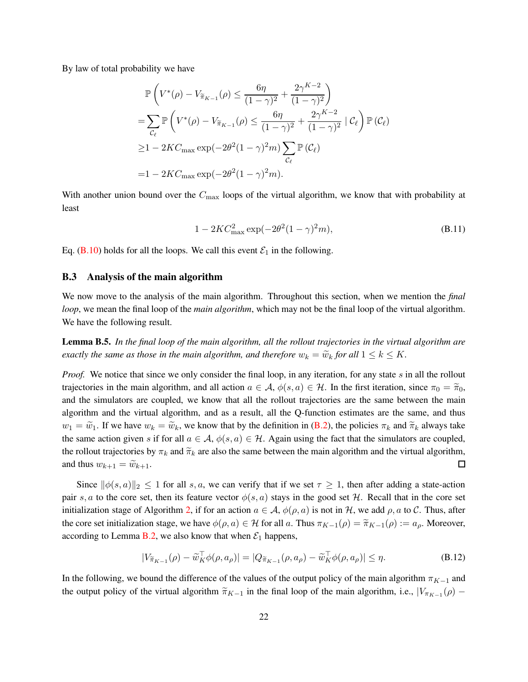By law of total probability we have

$$
\mathbb{P}\left(V^*(\rho) - V_{\widetilde{\pi}_{K-1}}(\rho) \le \frac{6\eta}{(1-\gamma)^2} + \frac{2\gamma^{K-2}}{(1-\gamma)^2}\right)
$$
\n
$$
= \sum_{\mathcal{C}_{\ell}} \mathbb{P}\left(V^*(\rho) - V_{\widetilde{\pi}_{K-1}}(\rho) \le \frac{6\eta}{(1-\gamma)^2} + \frac{2\gamma^{K-2}}{(1-\gamma)^2} \mid \mathcal{C}_{\ell}\right) \mathbb{P}\left(\mathcal{C}_{\ell}\right)
$$
\n
$$
\ge 1 - 2KC_{\max} \exp(-2\theta^2 (1-\gamma)^2 m) \sum_{\mathcal{C}_{\ell}} \mathbb{P}\left(\mathcal{C}_{\ell}\right)
$$
\n
$$
= 1 - 2KC_{\max} \exp(-2\theta^2 (1-\gamma)^2 m).
$$

With another union bound over the  $C_{\text{max}}$  loops of the virtual algorithm, we know that with probability at least

$$
1 - 2KC_{\text{max}}^2 \exp(-2\theta^2 (1 - \gamma)^2 m), \tag{B.11}
$$

<span id="page-21-1"></span>Eq. [\(B.10\)](#page-20-1) holds for all the loops. We call this event  $\mathcal{E}_1$  in the following.

#### B.3 Analysis of the main algorithm

We now move to the analysis of the main algorithm. Throughout this section, when we mention the *final loop*, we mean the final loop of the *main algorithm*, which may not be the final loop of the virtual algorithm. We have the following result.

<span id="page-21-0"></span>Lemma B.5. *In the final loop of the main algorithm, all the rollout trajectories in the virtual algorithm are exactly the same as those in the main algorithm, and therefore*  $w_k = \tilde{w}_k$  *for all*  $1 \leq k \leq K$ *.* 

*Proof.* We notice that since we only consider the final loop, in any iteration, for any state s in all the rollout trajectories in the main algorithm, and all action  $a \in A$ ,  $\phi(s, a) \in \mathcal{H}$ . In the first iteration, since  $\pi_0 = \tilde{\pi}_0$ , and the simulators are coupled, we know that all the rollout trajectories are the same between the main algorithm and the virtual algorithm, and as a result, all the Q-function estimates are the same, and thus  $w_1 = \tilde{w}_1$ . If we have  $w_k = \tilde{w}_k$ , we know that by the definition in [\(B.2\)](#page-17-1), the policies  $\pi_k$  and  $\tilde{\pi}_k$  always take the same action given s if for all  $a \in A$ ,  $\phi(s, a) \in \mathcal{H}$ . Again using the fact that the simulators are coupled, the rollout trajectories by  $\pi_k$  and  $\widetilde{\pi}_k$  are also the same between the main algorithm and the virtual algorithm, and thus  $w_{k+1} = \widetilde{w}_{k+1}$ . and thus  $w_{k+1} = \widetilde{w}_{k+1}$ .

Since  $\|\phi(s, a)\|_2 \leq 1$  for all s, a, we can verify that if we set  $\tau \geq 1$ , then after adding a state-action pair s, a to the core set, then its feature vector  $\phi(s, a)$  stays in the good set H. Recall that in the core set initialization stage of Algorithm [2,](#page-9-0) if for an action  $a \in \mathcal{A}$ ,  $\phi(\rho, a)$  is not in H, we add  $\rho, a$  to C. Thus, after the core set initialization stage, we have  $\phi(\rho, a) \in \mathcal{H}$  for all a. Thus  $\pi_{K-1}(\rho) = \tilde{\pi}_{K-1}(\rho) := a_{\rho}$ . Moreover, according to Lemma [B.2,](#page-19-1) we also know that when  $\mathcal{E}_1$  happens,

<span id="page-21-2"></span>
$$
|V_{\widetilde{\pi}_{K-1}}(\rho) - \widetilde{w}_K^{\top} \phi(\rho, a_{\rho})| = |Q_{\widetilde{\pi}_{K-1}}(\rho, a_{\rho}) - \widetilde{w}_K^{\top} \phi(\rho, a_{\rho})| \le \eta.
$$
 (B.12)

In the following, we bound the difference of the values of the output policy of the main algorithm  $\pi_{K-1}$  and the output policy of the virtual algorithm  $\tilde{\pi}_{K-1}$  in the final loop of the main algorithm, i.e.,  $|V_{\pi_{K-1}}(\rho) -$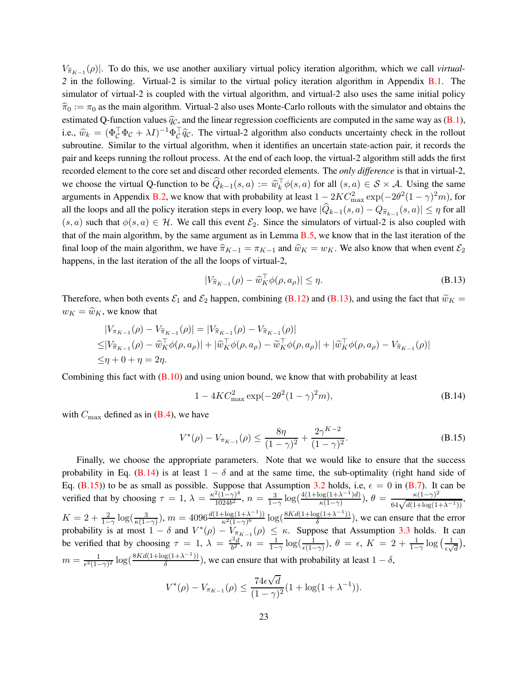$V_{\tilde{\pi}_{K-1}}(\rho)$ . To do this, we use another auxiliary virtual policy iteration algorithm, which we call *virtual*-*2* in the following. Virtual-2 is similar to the virtual policy iteration algorithm in Appendix [B.1.](#page-16-2) The simulator of virtual-2 is coupled with the virtual algorithm, and virtual-2 also uses the same initial policy  $\hat{\pi}_0 := \pi_0$  as the main algorithm. Virtual-2 also uses Monte-Carlo rollouts with the simulator and obtains the estimated Q-function values  $\hat{q}_c$ , and the linear regression coefficients are computed in the same way as [\(B.1\)](#page-17-2), i.e.,  $\widehat{w}_k = (\Phi_C^{\top} \Phi_C + \lambda I)^{-1} \Phi_C^{\top} \widehat{q}_C$ . The virtual-2 algorithm also conducts uncertainty check in the rollout subroutine. Similar to the virtual algorithm, when it identifies an uncertain state-action pair, it records the pair and keeps running the rollout process. At the end of each loop, the virtual-2 algorithm still adds the first recorded element to the core set and discard other recorded elements. The *only difference* is that in virtual-2, we choose the virtual Q-function to be  $Q_{k-1}(s, a) := \hat{w}_k^{\dagger} \phi(s, a)$  for all  $(s, a) \in S \times A$ . Using the same arguments in Appendix [B.2,](#page-19-0) we know that with probability at least  $1 - 2KC_{\text{max}}^2 \exp(-2\theta^2(1-\gamma)^2m)$ , for all the loops and all the policy iteration steps in every loop, we have  $|Q_{k-1}(s, a) - Q_{\widehat{\pi}_{k-1}}(s, a)| \leq \eta$  for all  $(s, a)$  such that  $\phi(s, a) \in \mathcal{H}$ . We call this event  $\mathcal{E}_2$ . Since the simulators of virtual-2 is also coupled with that of the main algorithm, by the same argument as in Lemma [B.5,](#page-21-0) we know that in the last iteration of the final loop of the main algorithm, we have  $\hat{\pi}_{K-1} = \pi_{K-1}$  and  $\hat{w}_K = w_K$ . We also know that when event  $\mathcal{E}_2$ happens, in the last iteration of the all the loops of virtual-2,

<span id="page-22-0"></span>
$$
|V_{\widehat{\pi}_{K-1}}(\rho) - \widehat{w}_K^{\top} \phi(\rho, a_{\rho})| \le \eta.
$$
\n(B.13)

Therefore, when both events  $\mathcal{E}_1$  and  $\mathcal{E}_2$  happen, combining [\(B.12\)](#page-21-2) and [\(B.13\)](#page-22-0), and using the fact that  $\tilde{w}_K$  =  $w_K = \hat{w}_K$ , we know that

$$
|V_{\pi_{K-1}}(\rho) - V_{\tilde{\pi}_{K-1}}(\rho)| = |V_{\tilde{\pi}_{K-1}}(\rho) - V_{\tilde{\pi}_{K-1}}(\rho)|
$$
  
\n
$$
\leq |V_{\tilde{\pi}_{K-1}}(\rho) - \tilde{w}_{K}^{\top}\phi(\rho, a_{\rho})| + |\tilde{w}_{K}^{\top}\phi(\rho, a_{\rho}) - \tilde{w}_{K}^{\top}\phi(\rho, a_{\rho})| + |\tilde{w}_{K}^{\top}\phi(\rho, a_{\rho}) - V_{\tilde{\pi}_{K-1}}(\rho)|
$$
  
\n
$$
\leq \eta + 0 + \eta = 2\eta.
$$

Combining this fact with  $(B.10)$  and using union bound, we know that with probability at least

<span id="page-22-2"></span><span id="page-22-1"></span>
$$
1 - 4KC_{\text{max}}^2 \exp(-2\theta^2 (1 - \gamma)^2 m), \tag{B.14}
$$

with  $C_{\text{max}}$  defined as in [\(B.4\)](#page-18-0), we have

$$
V^*(\rho) - V_{\pi_{K-1}}(\rho) \le \frac{8\eta}{(1-\gamma)^2} + \frac{2\gamma^{K-2}}{(1-\gamma)^2}.
$$
 (B.15)

Finally, we choose the appropriate parameters. Note that we would like to ensure that the success probability in Eq. [\(B.14\)](#page-22-1) is at least  $1 - \delta$  and at the same time, the sub-optimality (right hand side of Eq. [\(B.15\)](#page-22-2)) to be as small as possible. Suppose that Assumption [3.2](#page-6-0) holds, i.e,  $\epsilon = 0$  in [\(B.7\)](#page-19-2). It can be verified that by choosing  $\tau = 1$ ,  $\lambda = \frac{\kappa^2 (1 - \gamma)^4}{1024h^2}$  $\frac{2(1-\gamma)^4}{1024b^2}$ ,  $n = \frac{3}{1-\gamma}$  $\frac{3}{1-\gamma}\log\left(\frac{4(1+\log(1+\lambda^{-1})d)}{\kappa(1-\gamma)}\right)$  $\frac{\log(1+\lambda^{-1})d)}{\kappa(1-\gamma)}$ ),  $\theta = \frac{\kappa(1-\gamma)^2}{64\sqrt{d(1+\log(1+\lambda^{-1}))}},$  $K = 2 + \frac{2}{1-\gamma} \log(\frac{3}{\kappa(1-\gamma)}), m = 4096 \frac{d(1+\log(1+\lambda^{-1}))}{\kappa^2(1-\gamma)^6}$  $\frac{\log(1+\lambda^{-1})}{\kappa^2(1-\gamma)^6} \log(\frac{8Kd(1+\log(1+\lambda^{-1}))}{\delta})$  $\frac{g(1+\lambda)}{\delta}$ , we can ensure that the error probability is at most  $1 - \delta$  and  $V^*(\rho) - V_{\pi_{K-1}}(\rho) \leq \kappa$ . Suppose that Assumption [3.3](#page-6-1) holds. It can be verified that by choosing  $\tau = 1$ ,  $\lambda = \frac{\epsilon^2 d}{h^2}$  $\frac{e^{2}d}{b^{2}}, n = \frac{1}{1-a}$  $\frac{1}{1-\gamma}$  log( $\frac{1}{\epsilon(1-\gamma)}$ ), θ = ε, K = 2 +  $\frac{1}{1-\gamma}$  log( $\frac{1}{\epsilon\sqrt{\gamma}}$  $\frac{1}{\epsilon \sqrt{d}}\Big),$  $m = \frac{1}{e^{2(1 - 1)}}$  $\frac{1}{\epsilon^2(1-\gamma)^2} \log(\frac{8Kd(1+\log(1+\lambda^{-1}))}{\delta})$  $\frac{g(1+\lambda^{-1})}{\delta}$ , we can ensure that with probability at least  $1-\delta$ ,

$$
V^*(\rho) - V_{\pi_{K-1}}(\rho) \le \frac{74\epsilon\sqrt{d}}{(1-\gamma)^2}(1+\log(1+\lambda^{-1})).
$$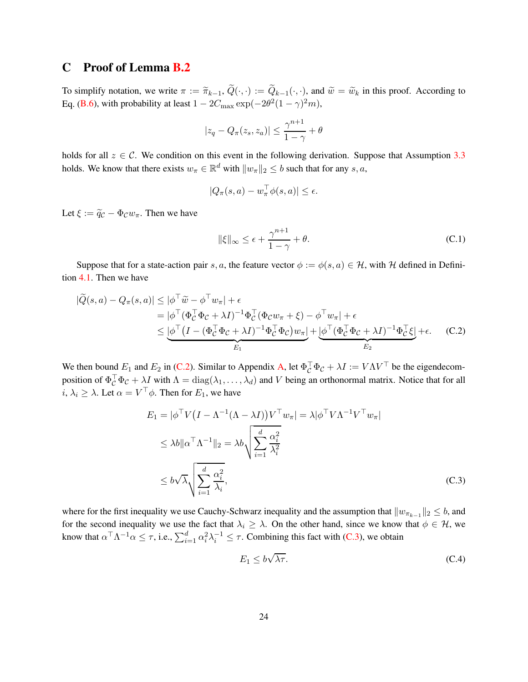## <span id="page-23-0"></span>C Proof of Lemma [B.2](#page-19-1)

To simplify notation, we write  $\pi := \tilde{\pi}_{k-1}, Q(\cdot, \cdot) := Q_{k-1}(\cdot, \cdot)$ , and  $\tilde{w} = \tilde{w}_k$  in this proof. According to Eq. [\(B.6\)](#page-19-3), with probability at least  $1 - 2C_{\text{max}} \exp(-2\theta^2 (1 - \gamma)^2 m)$ ,

$$
|z_q - Q_\pi(z_s, z_a)| \le \frac{\gamma^{n+1}}{1 - \gamma} + \theta
$$

holds for all  $z \in \mathcal{C}$ . We condition on this event in the following derivation. Suppose that Assumption [3.3](#page-6-1) holds. We know that there exists  $w_{\pi} \in \mathbb{R}^d$  with  $||w_{\pi}||_2 \le b$  such that for any  $s, a$ ,

$$
|Q_{\pi}(s, a) - w_{\pi}^{\top} \phi(s, a)| \le \epsilon.
$$

Let  $\xi := \tilde{q}_{\mathcal{C}} - \Phi_{\mathcal{C}} w_{\pi}$ . Then we have

<span id="page-23-3"></span><span id="page-23-1"></span>
$$
\|\xi\|_{\infty} \le \epsilon + \frac{\gamma^{n+1}}{1-\gamma} + \theta. \tag{C.1}
$$

Suppose that for a state-action pair s, a, the feature vector  $\phi := \phi(s, a) \in \mathcal{H}$ , with H defined in Definition [4.1.](#page-6-3) Then we have

$$
|\widetilde{Q}(s,a) - Q_{\pi}(s,a)| \leq |\phi^{\top}\widetilde{w} - \phi^{\top}w_{\pi}| + \epsilon
$$
  
\n
$$
= |\phi^{\top}(\Phi_{\mathcal{C}}^{\top}\Phi_{\mathcal{C}} + \lambda I)^{-1}\Phi_{\mathcal{C}}^{\top}(\Phi_{\mathcal{C}}w_{\pi} + \xi) - \phi^{\top}w_{\pi}| + \epsilon
$$
  
\n
$$
\leq \underbrace{|\phi^{\top}(I - (\Phi_{\mathcal{C}}^{\top}\Phi_{\mathcal{C}} + \lambda I)^{-1}\Phi_{\mathcal{C}}^{\top}\Phi_{\mathcal{C}})w_{\pi}|}_{E_1} + \underbrace{|\phi^{\top}(\Phi_{\mathcal{C}}^{\top}\Phi_{\mathcal{C}} + \lambda I)^{-1}\Phi_{\mathcal{C}}^{\top}\xi|}_{E_2} + \epsilon.
$$
 (C.2)

We then bound  $E_1$  and  $E_2$  in [\(C.2\)](#page-23-1). Similar to Appendix [A,](#page-15-5) let  $\Phi_C^{\dagger} \Phi_C + \lambda I := V \Lambda V^{\dagger}$  be the eigendecomposition of  $\Phi_C^{\perp} \Phi_C + \lambda I$  with  $\Lambda = \text{diag}(\lambda_1, \dots, \lambda_d)$  and V being an orthonormal matrix. Notice that for all  $i, \lambda_i \geq \lambda$ . Let  $\alpha = V^{\top} \phi$ . Then for  $E_1$ , we have

$$
E_1 = |\phi^\top V (I - \Lambda^{-1} (\Lambda - \lambda I)) V^\top w_\pi| = \lambda |\phi^\top V \Lambda^{-1} V^\top w_\pi|
$$
  
\n
$$
\leq \lambda b \|\alpha^\top \Lambda^{-1}\|_2 = \lambda b \sqrt{\sum_{i=1}^d \frac{\alpha_i^2}{\lambda_i^2}}
$$
  
\n
$$
\leq b \sqrt{\lambda} \sqrt{\sum_{i=1}^d \frac{\alpha_i^2}{\lambda_i}},
$$
\n(C.3)

where for the first inequality we use Cauchy-Schwarz inequality and the assumption that  $||w_{\pi_{k-1}}||_2 \leq b$ , and for the second inequality we use the fact that  $\lambda_i \geq \lambda$ . On the other hand, since we know that  $\phi \in \mathcal{H}$ , we know that  $\alpha^{\top} \Lambda^{-1} \alpha \leq \tau$ , i.e.,  $\sum_{i=1}^{d} \alpha_i^2 \lambda_i^{-1} \leq \tau$ . Combining this fact with [\(C.3\)](#page-23-2), we obtain

<span id="page-23-4"></span><span id="page-23-2"></span>
$$
E_1 \le b\sqrt{\lambda \tau}.\tag{C.4}
$$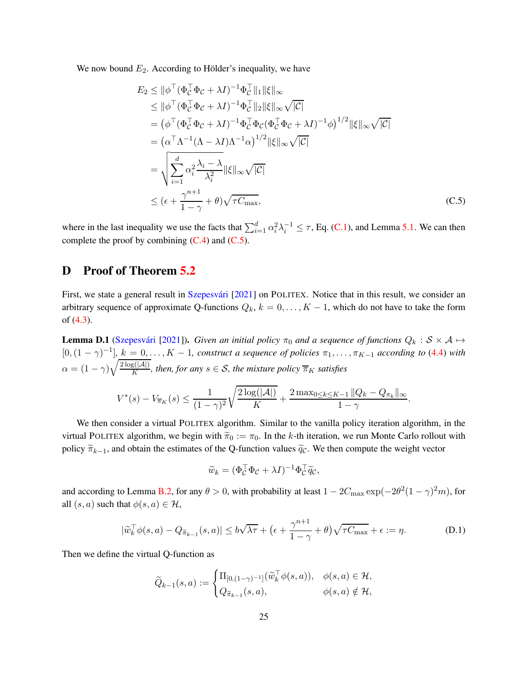We now bound  $E_2$ . According to Hölder's inequality, we have

<span id="page-24-1"></span>
$$
E_2 \le ||\phi^\top (\Phi_C^\top \Phi_C + \lambda I)^{-1} \Phi_C^\top ||_1 ||\xi||_\infty
$$
  
\n
$$
\le ||\phi^\top (\Phi_C^\top \Phi_C + \lambda I)^{-1} \Phi_C^\top ||_2 ||\xi||_\infty \sqrt{|C|}
$$
  
\n
$$
= (\phi^\top (\Phi_C^\top \Phi_C + \lambda I)^{-1} \Phi_C^\top \Phi_C (\Phi_C^\top \Phi_C + \lambda I)^{-1} \phi)^{1/2} ||\xi||_\infty \sqrt{|C|}
$$
  
\n
$$
= (\alpha^\top \Lambda^{-1} (\Lambda - \lambda I) \Lambda^{-1} \alpha)^{1/2} ||\xi||_\infty \sqrt{|C|}
$$
  
\n
$$
= \sqrt{\sum_{i=1}^d \alpha_i^2 \frac{\lambda_i - \lambda}{\lambda_i^2} ||\xi||_\infty \sqrt{|C|}}
$$
  
\n
$$
\le (\epsilon + \frac{\gamma^{n+1}}{1 - \gamma} + \theta) \sqrt{\tau C_{\text{max}}},
$$
 (C.5)

where in the last inequality we use the facts that  $\sum_{i=1}^{d} \alpha_i^2 \lambda_i^{-1} \leq \tau$ , Eq. [\(C.1\)](#page-23-3), and Lemma [5.1.](#page-11-0) We can then complete the proof by combining  $(C.4)$  and  $(C.5)$ .

# <span id="page-24-0"></span>D Proof of Theorem [5.2](#page-9-1)

First, we state a general result in Szepesvári [\[2021\]](#page-14-15) on POLITEX. Notice that in this result, we consider an arbitrary sequence of approximate Q-functions  $Q_k$ ,  $k = 0, \ldots, K - 1$ , which do not have to take the form of [\(4.3\)](#page-8-3).

<span id="page-24-2"></span>**Lemma D.1** (Szepesvári [\[2021\]](#page-14-15)). *Given an initial policy*  $\pi_0$  *and a sequence of functions*  $Q_k : S \times A \mapsto$  $[0,(1-\gamma)^{-1}]$ ,  $k=0,\ldots,K-1$ , construct a sequence of policies  $\pi_1,\ldots,\pi_{K-1}$  according to [\(4.4\)](#page-8-4) with  $\alpha = (1 - \gamma) \sqrt{\frac{2 \log(|\mathcal{A}|)}{K}}$ , then, for any  $s \in \mathcal{S}$ , the mixture policy  $\overline{\pi}_K$  satisfies

$$
V^*(s) - V_{\overline{\pi}_K}(s) \le \frac{1}{(1 - \gamma)^2} \sqrt{\frac{2 \log(|\mathcal{A}|)}{K}} + \frac{2 \max_{0 \le k \le K-1} ||Q_k - Q_{\pi_k}||_{\infty}}{1 - \gamma}.
$$

We then consider a virtual POLITEX algorithm. Similar to the vanilla policy iteration algorithm, in the virtual POLITEX algorithm, we begin with  $\tilde{\pi}_0 := \pi_0$ . In the k-th iteration, we run Monte Carlo rollout with policy  $\widetilde{\pi}_{k-1}$ , and obtain the estimates of the Q-function values  $\widetilde{q}_C$ . We then compute the weight vector

<span id="page-24-3"></span>
$$
\widetilde{w}_k = (\Phi_{\mathcal{C}}^\top \Phi_{\mathcal{C}} + \lambda I)^{-1} \Phi_{\mathcal{C}}^\top \widetilde{q}_{\mathcal{C}},
$$

and according to Lemma [B.2,](#page-19-1) for any  $\theta > 0$ , with probability at least  $1 - 2C_{\text{max}} \exp(-2\theta^2(1-\gamma)^2m)$ , for all  $(s, a)$  such that  $\phi(s, a) \in \mathcal{H}$ ,

$$
|\widetilde{w}_k^{\top} \phi(s, a) - Q_{\widetilde{\pi}_{k-1}}(s, a)| \le b\sqrt{\lambda \tau} + \left(\epsilon + \frac{\gamma^{n+1}}{1 - \gamma} + \theta\right)\sqrt{\tau C_{\max}} + \epsilon := \eta.
$$
 (D.1)

Then we define the virtual Q-function as

$$
\widetilde{Q}_{k-1}(s,a) := \begin{cases} \Pi_{[0,(1-\gamma)^{-1}]}(\widetilde{w}_k^{\top} \phi(s,a)), & \phi(s,a) \in \mathcal{H}, \\ Q_{\widetilde{\pi}_{k-1}}(s,a), & \phi(s,a) \notin \mathcal{H}, \end{cases}
$$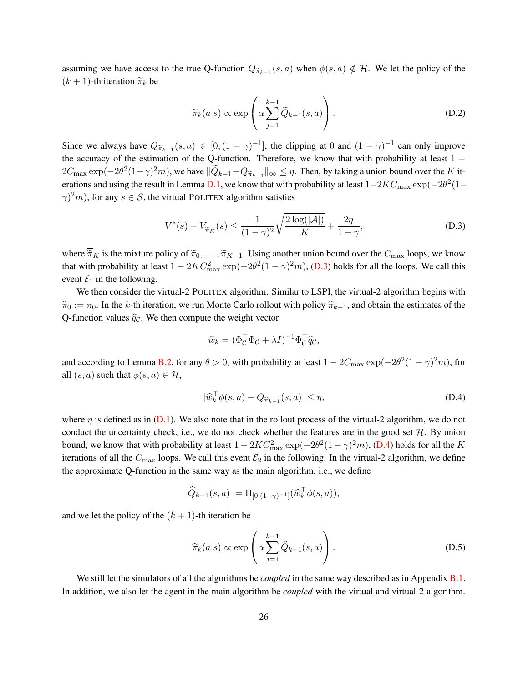assuming we have access to the true Q-function  $Q_{\widetilde{\pi}_{k-1}}(s, a)$  when  $\phi(s, a) \notin \mathcal{H}$ . We let the policy of the  $(k + 1)$ -th iteration  $\widetilde{\pi}_k$  be

$$
\widetilde{\pi}_k(a|s) \propto \exp\left(\alpha \sum_{j=1}^{k-1} \widetilde{Q}_{k-1}(s, a)\right).
$$
 (D.2)

Since we always have  $Q_{\widetilde{\pi}_{k-1}}(s, a) \in [0, (1 - \gamma)^{-1}]$ , the clipping at 0 and  $(1 - \gamma)^{-1}$  can only improve the accuracy of the estimation of the Q-function. Therefore, we know that with probability at least 1 −  $2C_{\max}\exp(-2\theta^2(1-\gamma)^2m)$ , we have  $\|\widetilde{Q}_{k-1}-Q_{\widetilde{\pi}_{k-1}}\|_\infty\leq\eta$ . Then, by taking a union bound over the  $K$  it-erations and using the result in Lemma [D.1,](#page-24-2) we know that with probability at least  $1-2KC_{\text{max}} \exp(-2\theta^2(1-\theta^2))$  $\gamma$ <sup>2</sup>*m*), for any *s*  $\in$  *S*, the virtual POLITEX algorithm satisfies

$$
V^*(s) - V_{\overline{\pi}_K}(s) \le \frac{1}{(1-\gamma)^2} \sqrt{\frac{2\log(|\mathcal{A}|)}{K}} + \frac{2\eta}{1-\gamma},
$$
 (D.3)

where  $\overline{\tilde{\pi}}_K$  is the mixture policy of  $\tilde{\pi}_0, \ldots, \tilde{\pi}_{K-1}$ . Using another union bound over the  $C_{\text{max}}$  loops, we know that with probability at least  $1 - 2KC_{\text{max}}^2 \exp(-2\theta^2(1-\gamma)^2m)$ , [\(D.3\)](#page-25-0) holds for all the loops. We call this event  $\mathcal{E}_1$  in the following.

We then consider the virtual-2 POLITEX algorithm. Similar to LSPI, the virtual-2 algorithm begins with  $\hat{\pi}_0 := \pi_0$ . In the k-th iteration, we run Monte Carlo rollout with policy  $\hat{\pi}_{k-1}$ , and obtain the estimates of the Q-function values  $\hat{q}_c$ . We then compute the weight vector

<span id="page-25-1"></span><span id="page-25-0"></span>
$$
\widehat{w}_k = (\Phi_C^\top \Phi_C + \lambda I)^{-1} \Phi_C^\top \widehat{q}_C,
$$

and according to Lemma [B.2,](#page-19-1) for any  $\theta > 0$ , with probability at least  $1 - 2C_{\text{max}} \exp(-2\theta^2(1-\gamma)^2m)$ , for all  $(s, a)$  such that  $\phi(s, a) \in \mathcal{H}$ ,

$$
|\widehat{w}_k^{\top} \phi(s, a) - Q_{\widehat{\pi}_{k-1}}(s, a)| \le \eta,
$$
\n(D.4)

where  $\eta$  is defined as in [\(D.1\)](#page-24-3). We also note that in the rollout process of the virtual-2 algorithm, we do not conduct the uncertainty check, i.e., we do not check whether the features are in the good set  $H$ . By union bound, we know that with probability at least  $1 - 2KC_{\text{max}}^2 \exp(-2\theta^2(1-\gamma)^2m)$ , [\(D.4\)](#page-25-1) holds for all the K iterations of all the  $C_{\text{max}}$  loops. We call this event  $\mathcal{E}_2$  in the following. In the virtual-2 algorithm, we define the approximate Q-function in the same way as the main algorithm, i.e., we define

$$
\widehat{Q}_{k-1}(s,a) := \Pi_{[0,(1-\gamma)^{-1}]}(\widehat{w}_k^{\top} \phi(s,a)),
$$

and we let the policy of the  $(k + 1)$ -th iteration be

$$
\widehat{\pi}_k(a|s) \propto \exp\left(\alpha \sum_{j=1}^{k-1} \widehat{Q}_{k-1}(s, a)\right).
$$
 (D.5)

We still let the simulators of all the algorithms be *coupled* in the same way described as in Appendix **B**.1. In addition, we also let the agent in the main algorithm be *coupled* with the virtual and virtual-2 algorithm.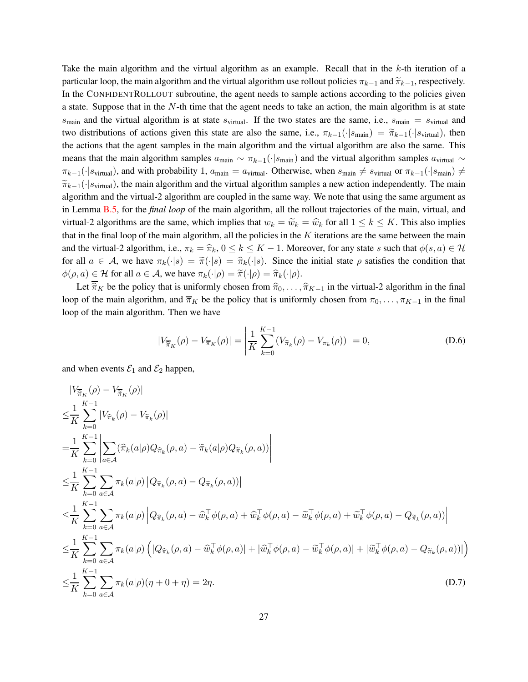Take the main algorithm and the virtual algorithm as an example. Recall that in the  $k$ -th iteration of a particular loop, the main algorithm and the virtual algorithm use rollout policies  $\pi_{k-1}$  and  $\widetilde{\pi}_{k-1}$ , respectively. In the CONFIDENTROLLOUT subroutine, the agent needs to sample actions according to the policies given a state. Suppose that in the  $N$ -th time that the agent needs to take an action, the main algorithm is at state  $s_{\text{main}}$  and the virtual algorithm is at state  $s_{\text{virtual}}$ . If the two states are the same, i.e.,  $s_{\text{main}} = s_{\text{virtual}}$  and two distributions of actions given this state are also the same, i.e.,  $\pi_{k-1}(\cdot|s_{\text{main}}) = \tilde{\pi}_{k-1}(\cdot|s_{\text{virtual}})$ , then the actions that the agent samples in the main algorithm and the virtual algorithm are also the same. This means that the main algorithm samples  $a_{\text{main}} \sim \pi_{k-1}(\cdot|s_{\text{main}})$  and the virtual algorithm samples  $a_{\text{virtual}} \sim$  $\pi_{k-1}(\cdot|s_{\text{virtual}})$ , and with probability 1,  $a_{\text{main}} = a_{\text{virtual}}$ . Otherwise, when  $s_{\text{main}} \neq s_{\text{virtual}}$  or  $\pi_{k-1}(\cdot|s_{\text{main}}) \neq$  $\widetilde{\pi}_{k-1}(\cdot|s_{\text{virtual}})$ , the main algorithm and the virtual algorithm samples a new action independently. The main algorithm and the virtual-2 algorithm are coupled in the same way. We note that using the same argument as in Lemma [B.5,](#page-21-0) for the *final loop* of the main algorithm, all the rollout trajectories of the main, virtual, and virtual-2 algorithms are the same, which implies that  $w_k = \tilde{w}_k = \hat{w}_k$  for all  $1 \le k \le K$ . This also implies that in the final loop of the main algorithm, all the policies in the  $K$  iterations are the same between the main and the virtual-2 algorithm, i.e.,  $\pi_k = \hat{\pi}_k$ ,  $0 \le k \le K - 1$ . Moreover, for any state s such that  $\phi(s, a) \in \mathcal{H}$ for all  $a \in \mathcal{A}$ , we have  $\pi_k(\cdot|s) = \tilde{\pi}(\cdot|s) = \hat{\pi}_k(\cdot|s)$ . Since the initial state  $\rho$  satisfies the condition that  $\phi(\rho, a) \in \mathcal{H}$  for all  $a \in \mathcal{A}$ , we have  $\pi_k(\cdot | \rho) = \tilde{\pi}(\cdot | \rho) = \hat{\pi}_k(\cdot | \rho)$ .

Let  $\overline{\hat{\pi}}_K$  be the policy that is uniformly chosen from  $\hat{\pi}_0, \dots, \hat{\pi}_{K-1}$  in the virtual-2 algorithm in the final loop of the main algorithm, and  $\overline{\pi}_K$  be the policy that is uniformly chosen from  $\pi_0, \ldots, \pi_{K-1}$  in the final loop of the main algorithm. Then we have

<span id="page-26-1"></span><span id="page-26-0"></span>
$$
|V_{\overline{\pi}_K}(\rho) - V_{\overline{\pi}_K}(\rho)| = \left| \frac{1}{K} \sum_{k=0}^{K-1} (V_{\hat{\pi}_k}(\rho) - V_{\pi_k}(\rho)) \right| = 0,
$$
 (D.6)

and when events  $\mathcal{E}_1$  and  $\mathcal{E}_2$  happen,

$$
\begin{split}\n&\left|V_{\overline{\pi}_{K}}(\rho)-V_{\overline{\pi}_{K}}(\rho)\right| \\
&\leq \frac{1}{K} \sum_{k=0}^{K-1} |V_{\widehat{\pi}_{k}}(\rho)-V_{\widehat{\pi}_{k}}(\rho)| \\
&= \frac{1}{K} \sum_{k=0}^{K-1} \left| \sum_{a \in \mathcal{A}} (\widehat{\pi}_{k}(a|\rho)Q_{\widehat{\pi}_{k}}(\rho,a)-\widetilde{\pi}_{k}(a|\rho)Q_{\widetilde{\pi}_{k}}(\rho,a)) \right| \\
&\leq \frac{1}{K} \sum_{k=0}^{K-1} \sum_{a \in \mathcal{A}} \pi_{k}(a|\rho) |Q_{\widehat{\pi}_{k}}(\rho,a)-Q_{\widetilde{\pi}_{k}}(\rho,a)| \\
&\leq \frac{1}{K} \sum_{k=0}^{K-1} \sum_{a \in \mathcal{A}} \pi_{k}(a|\rho) |Q_{\widehat{\pi}_{k}}(\rho,a)-\widehat{w}_{k}^{\top}\phi(\rho,a)+\widehat{w}_{k}^{\top}\phi(\rho,a)-\widetilde{w}_{k}^{\top}\phi(\rho,a)+\widetilde{w}_{k}^{\top}\phi(\rho,a)-Q_{\widetilde{\pi}_{k}}(\rho,a)| \\
&\leq \frac{1}{K} \sum_{k=0}^{K-1} \sum_{a \in \mathcal{A}} \pi_{k}(a|\rho) \left( |Q_{\widehat{\pi}_{k}}(\rho,a)-\widehat{w}_{k}^{\top}\phi(\rho,a)| + |\widehat{w}_{k}^{\top}\phi(\rho,a)-\widetilde{w}_{k}^{\top}\phi(\rho,a)| + |\widetilde{w}_{k}^{\top}\phi(\rho,a)-Q_{\widetilde{\pi}_{k}}(\rho,a)| \right) \\
&\leq \frac{1}{K} \sum_{k=0}^{K-1} \sum_{a \in \mathcal{A}} \pi_{k}(a|\rho)(\eta+0+\eta) = 2\eta.\n\end{split} \tag{D.7}
$$